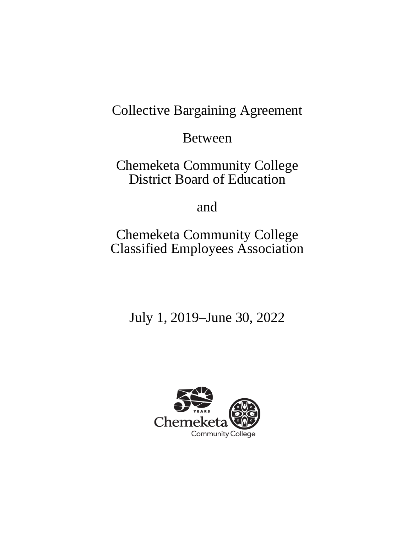# Collective Bargaining Agreement

Between

Chemeketa Community College District Board of Education

and

Chemeketa Community College Classified Employees Association

July 1, 2019–June 30, 2022

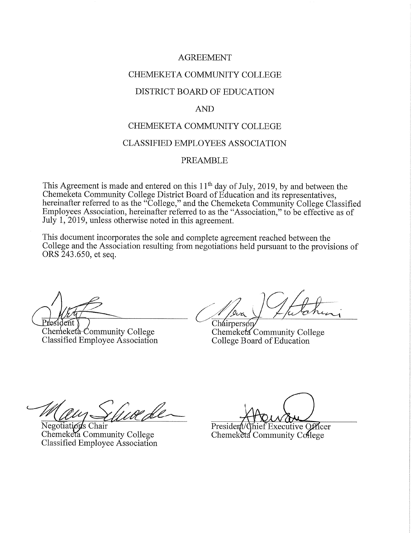#### **AGREEMENT**

## CHEMEKETA COMMUNITY COLLEGE

#### DISTRICT BOARD OF EDUCATION

#### **AND**

#### CHEMEKETA COMMUNITY COLLEGE

#### **CLASSIFIED EMPLOYEES ASSOCIATION**

#### **PREAMBLE**

This Agreement is made and entered on this  $11<sup>th</sup>$  day of July, 2019, by and between the Chemeketa Community College District Board of Education and its representatives, hereinafter referred to as the "College," and the Chemeketa Community College Classified Employees Association, hereinafter referred to as the "Association," to be effective as of July 1, 2019, unless otherwise noted in this agreement.

This document incorporates the sole and complete agreement reached between the College and the Association resulting from negotiations held pursuant to the provisions of ORS 243.650, et seq.

President )

Chemeketa-Community College Classified Employee Association

Chairperson

Chemeketa Community College College Board of Education

Negotiation's Chair Chemeketa Community College Classified Employee Association

hief Executive Officer President

Chemeketa Community College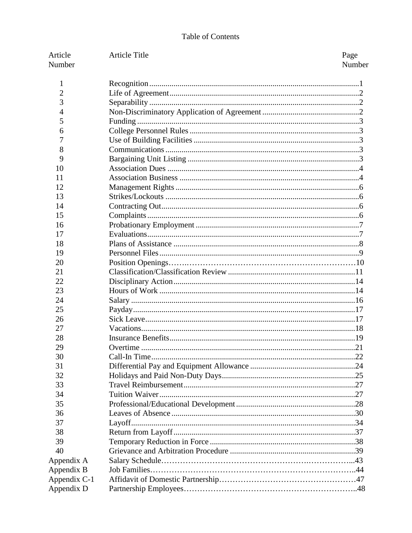## Table of Contents

| Article      | <b>Article Title</b> | Page   |
|--------------|----------------------|--------|
| Number       |                      | Number |
| 1            |                      |        |
| 2            |                      |        |
| 3            |                      |        |
| 4            |                      |        |
| 5            |                      |        |
| 6            |                      |        |
| 7            |                      |        |
| 8            |                      |        |
| 9            |                      |        |
| 10           |                      |        |
| 11           |                      |        |
| 12           |                      |        |
| 13           |                      |        |
| 14           |                      |        |
| 15           |                      |        |
| 16           |                      |        |
| 17           |                      |        |
| 18           |                      |        |
| 19           |                      |        |
| 20           |                      |        |
| 21           |                      |        |
| 22           |                      |        |
| 23           |                      |        |
| 24           |                      |        |
| 25           |                      |        |
| 26           |                      |        |
| 27           |                      |        |
| 28           |                      |        |
| 29           |                      |        |
| 30<br>31     |                      |        |
| 32           |                      |        |
| 33           |                      |        |
| 34           |                      |        |
| 35           |                      |        |
| 36           |                      |        |
| 37           |                      |        |
| 38           |                      |        |
| 39           |                      |        |
| 40           |                      |        |
| Appendix A   |                      |        |
| Appendix B   |                      |        |
| Appendix C-1 |                      |        |
| Appendix D   |                      |        |
|              |                      |        |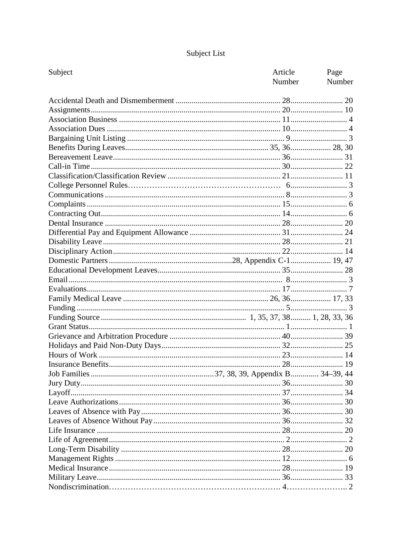## Subject List

| Subject | Article<br>Number | Page<br>Number |
|---------|-------------------|----------------|
|         |                   |                |
|         |                   |                |
|         |                   |                |
|         |                   |                |
|         |                   |                |
|         |                   |                |
|         |                   |                |
|         |                   |                |
|         |                   |                |
|         |                   |                |
|         |                   |                |
|         |                   |                |
|         |                   |                |
|         |                   |                |
|         |                   |                |
|         |                   |                |
|         |                   |                |
|         |                   |                |
|         |                   |                |
|         |                   |                |
|         |                   |                |
|         |                   |                |
|         |                   |                |
|         |                   |                |
|         |                   |                |
|         |                   |                |
|         |                   |                |
|         |                   |                |
|         |                   |                |
|         |                   |                |
|         |                   |                |
|         |                   |                |
|         |                   |                |
|         |                   |                |
|         |                   |                |
|         |                   |                |
|         |                   |                |
|         |                   |                |
|         |                   |                |
|         |                   |                |
|         |                   |                |
|         |                   |                |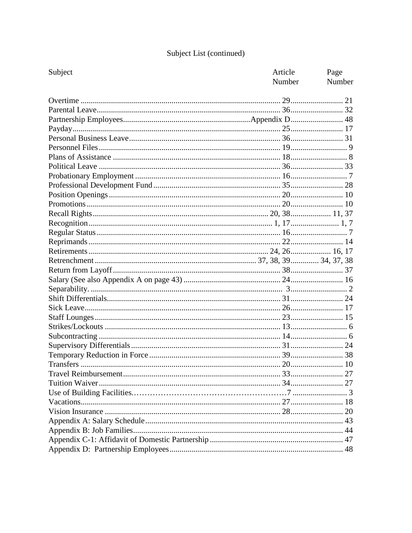## Subject List (continued)

| Subject | Article | Page   |
|---------|---------|--------|
|         | Number  | Number |
|         |         |        |
|         |         |        |
|         |         |        |
|         |         |        |
|         |         |        |
|         |         |        |
|         |         |        |
|         |         |        |
|         |         |        |
|         |         |        |
|         |         |        |
|         |         |        |
|         |         |        |
|         |         |        |
|         |         |        |
|         |         |        |
|         |         |        |
|         |         |        |
|         |         |        |
|         |         |        |
|         |         |        |
|         |         |        |
|         |         |        |
|         |         |        |
|         |         |        |
|         |         |        |
|         |         |        |
|         |         |        |
|         |         |        |
|         |         |        |
|         |         |        |
|         |         |        |
|         |         |        |
|         |         |        |
|         |         |        |
|         |         |        |
|         |         |        |
|         |         |        |
|         |         |        |
|         |         |        |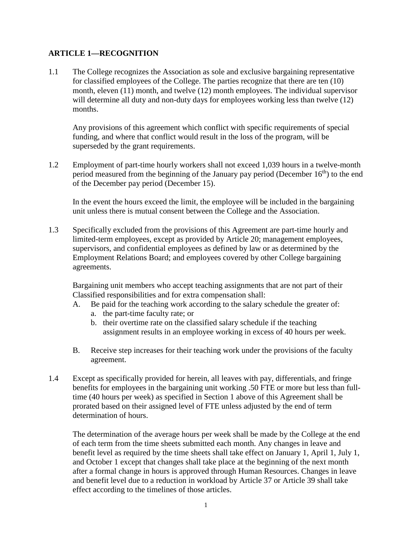## **ARTICLE 1—RECOGNITION**

1.1 The College recognizes the Association as sole and exclusive bargaining representative for classified employees of the College. The parties recognize that there are ten (10) month, eleven (11) month, and twelve (12) month employees. The individual supervisor will determine all duty and non-duty days for employees working less than twelve (12) months.

Any provisions of this agreement which conflict with specific requirements of special funding, and where that conflict would result in the loss of the program, will be superseded by the grant requirements.

1.2 Employment of part-time hourly workers shall not exceed 1,039 hours in a twelve-month period measured from the beginning of the January pay period (December  $16<sup>th</sup>$ ) to the end of the December pay period (December 15).

In the event the hours exceed the limit, the employee will be included in the bargaining unit unless there is mutual consent between the College and the Association.

1.3 Specifically excluded from the provisions of this Agreement are part-time hourly and limited-term employees, except as provided by Article 20; management employees, supervisors, and confidential employees as defined by law or as determined by the Employment Relations Board; and employees covered by other College bargaining agreements.

Bargaining unit members who accept teaching assignments that are not part of their Classified responsibilities and for extra compensation shall:

- A. Be paid for the teaching work according to the salary schedule the greater of:
	- a. the part-time faculty rate; or
	- b. their overtime rate on the classified salary schedule if the teaching assignment results in an employee working in excess of 40 hours per week.
- B. Receive step increases for their teaching work under the provisions of the faculty agreement.
- 1.4 Except as specifically provided for herein, all leaves with pay, differentials, and fringe benefits for employees in the bargaining unit working .50 FTE or more but less than fulltime (40 hours per week) as specified in Section 1 above of this Agreement shall be prorated based on their assigned level of FTE unless adjusted by the end of term determination of hours.

The determination of the average hours per week shall be made by the College at the end of each term from the time sheets submitted each month. Any changes in leave and benefit level as required by the time sheets shall take effect on January 1, April 1, July 1, and October 1 except that changes shall take place at the beginning of the next month after a formal change in hours is approved through Human Resources. Changes in leave and benefit level due to a reduction in workload by Article 37 or Article 39 shall take effect according to the timelines of those articles.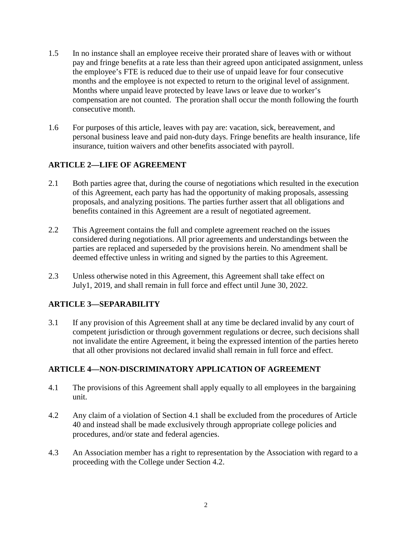- 1.5 In no instance shall an employee receive their prorated share of leaves with or without pay and fringe benefits at a rate less than their agreed upon anticipated assignment, unless the employee's FTE is reduced due to their use of unpaid leave for four consecutive months and the employee is not expected to return to the original level of assignment. Months where unpaid leave protected by leave laws or leave due to worker's compensation are not counted. The proration shall occur the month following the fourth consecutive month.
- 1.6 For purposes of this article, leaves with pay are: vacation, sick, bereavement, and personal business leave and paid non-duty days. Fringe benefits are health insurance, life insurance, tuition waivers and other benefits associated with payroll.

## **ARTICLE 2—LIFE OF AGREEMENT**

- 2.1 Both parties agree that, during the course of negotiations which resulted in the execution of this Agreement, each party has had the opportunity of making proposals, assessing proposals, and analyzing positions. The parties further assert that all obligations and benefits contained in this Agreement are a result of negotiated agreement.
- 2.2 This Agreement contains the full and complete agreement reached on the issues considered during negotiations. All prior agreements and understandings between the parties are replaced and superseded by the provisions herein. No amendment shall be deemed effective unless in writing and signed by the parties to this Agreement.
- 2.3 Unless otherwise noted in this Agreement, this Agreement shall take effect on July1, 2019, and shall remain in full force and effect until June 30, 2022.

## **ARTICLE 3—SEPARABILITY**

3.1 If any provision of this Agreement shall at any time be declared invalid by any court of competent jurisdiction or through government regulations or decree, such decisions shall not invalidate the entire Agreement, it being the expressed intention of the parties hereto that all other provisions not declared invalid shall remain in full force and effect.

## **ARTICLE 4—NON-DISCRIMINATORY APPLICATION OF AGREEMENT**

- 4.1 The provisions of this Agreement shall apply equally to all employees in the bargaining unit.
- 4.2 Any claim of a violation of Section 4.1 shall be excluded from the procedures of Article 40 and instead shall be made exclusively through appropriate college policies and procedures, and/or state and federal agencies.
- 4.3 An Association member has a right to representation by the Association with regard to a proceeding with the College under Section 4.2.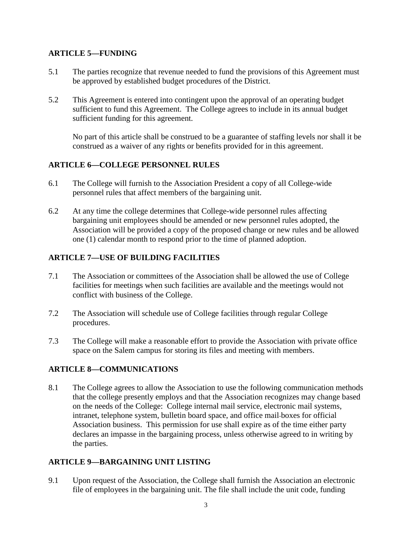## **ARTICLE 5—FUNDING**

- 5.1 The parties recognize that revenue needed to fund the provisions of this Agreement must be approved by established budget procedures of the District.
- 5.2 This Agreement is entered into contingent upon the approval of an operating budget sufficient to fund this Agreement. The College agrees to include in its annual budget sufficient funding for this agreement.

No part of this article shall be construed to be a guarantee of staffing levels nor shall it be construed as a waiver of any rights or benefits provided for in this agreement.

## **ARTICLE 6—COLLEGE PERSONNEL RULES**

- 6.1 The College will furnish to the Association President a copy of all College-wide personnel rules that affect members of the bargaining unit.
- 6.2 At any time the college determines that College-wide personnel rules affecting bargaining unit employees should be amended or new personnel rules adopted, the Association will be provided a copy of the proposed change or new rules and be allowed one (1) calendar month to respond prior to the time of planned adoption.

## **ARTICLE 7—USE OF BUILDING FACILITIES**

- 7.1 The Association or committees of the Association shall be allowed the use of College facilities for meetings when such facilities are available and the meetings would not conflict with business of the College.
- 7.2 The Association will schedule use of College facilities through regular College procedures.
- 7.3 The College will make a reasonable effort to provide the Association with private office space on the Salem campus for storing its files and meeting with members.

## **ARTICLE 8—COMMUNICATIONS**

8.1 The College agrees to allow the Association to use the following communication methods that the college presently employs and that the Association recognizes may change based on the needs of the College: College internal mail service, electronic mail systems, intranet, telephone system, bulletin board space, and office mail boxes for official Association business. This permission for use shall expire as of the time either party declares an impasse in the bargaining process, unless otherwise agreed to in writing by the parties.

## **ARTICLE 9—BARGAINING UNIT LISTING**

9.1 Upon request of the Association, the College shall furnish the Association an electronic file of employees in the bargaining unit. The file shall include the unit code, funding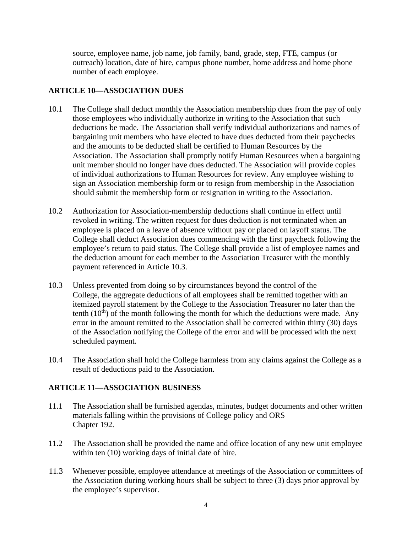source, employee name, job name, job family, band, grade, step, FTE, campus (or outreach) location, date of hire, campus phone number, home address and home phone number of each employee.

## **ARTICLE 10—ASSOCIATION DUES**

- 10.1 The College shall deduct monthly the Association membership dues from the pay of only those employees who individually authorize in writing to the Association that such deductions be made. The Association shall verify individual authorizations and names of bargaining unit members who have elected to have dues deducted from their paychecks and the amounts to be deducted shall be certified to Human Resources by the Association. The Association shall promptly notify Human Resources when a bargaining unit member should no longer have dues deducted. The Association will provide copies of individual authorizations to Human Resources for review. Any employee wishing to sign an Association membership form or to resign from membership in the Association should submit the membership form or resignation in writing to the Association.
- 10.2 Authorization for Association-membership deductions shall continue in effect until revoked in writing. The written request for dues deduction is not terminated when an employee is placed on a leave of absence without pay or placed on layoff status. The College shall deduct Association dues commencing with the first paycheck following the employee's return to paid status. The College shall provide a list of employee names and the deduction amount for each member to the Association Treasurer with the monthly payment referenced in Article 10.3.
- 10.3 Unless prevented from doing so by circumstances beyond the control of the College, the aggregate deductions of all employees shall be remitted together with an itemized payroll statement by the College to the Association Treasurer no later than the tenth  $(10<sup>th</sup>)$  of the month following the month for which the deductions were made. Any error in the amount remitted to the Association shall be corrected within thirty (30) days of the Association notifying the College of the error and will be processed with the next scheduled payment.
- 10.4 The Association shall hold the College harmless from any claims against the College as a result of deductions paid to the Association.

## **ARTICLE 11—ASSOCIATION BUSINESS**

- 11.1 The Association shall be furnished agendas, minutes, budget documents and other written materials falling within the provisions of College policy and ORS Chapter 192.
- 11.2 The Association shall be provided the name and office location of any new unit employee within ten  $(10)$  working days of initial date of hire.
- 11.3 Whenever possible, employee attendance at meetings of the Association or committees of the Association during working hours shall be subject to three (3) days prior approval by the employee's supervisor.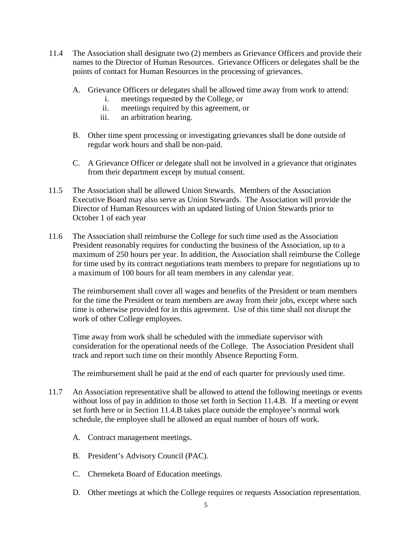- 11.4 The Association shall designate two (2) members as Grievance Officers and provide their names to the Director of Human Resources. Grievance Officers or delegates shall be the points of contact for Human Resources in the processing of grievances.
	- A. Grievance Officers or delegates shall be allowed time away from work to attend:
		- i. meetings requested by the College, or
		- ii. meetings required by this agreement, or
		- iii. an arbitration hearing.
	- B. Other time spent processing or investigating grievances shall be done outside of regular work hours and shall be non-paid.
	- C. A Grievance Officer or delegate shall not be involved in a grievance that originates from their department except by mutual consent.
- 11.5 The Association shall be allowed Union Stewards. Members of the Association Executive Board may also serve as Union Stewards. The Association will provide the Director of Human Resources with an updated listing of Union Stewards prior to October 1 of each year
- 11.6 The Association shall reimburse the College for such time used as the Association President reasonably requires for conducting the business of the Association, up to a maximum of 250 hours per year. In addition, the Association shall reimburse the College for time used by its contract negotiations team members to prepare for negotiations up to a maximum of 100 hours for all team members in any calendar year.

The reimbursement shall cover all wages and benefits of the President or team members for the time the President or team members are away from their jobs, except where such time is otherwise provided for in this agreement. Use of this time shall not disrupt the work of other College employees.

Time away from work shall be scheduled with the immediate supervisor with consideration for the operational needs of the College. The Association President shall track and report such time on their monthly Absence Reporting Form.

The reimbursement shall be paid at the end of each quarter for previously used time.

- 11.7 An Association representative shall be allowed to attend the following meetings or events without loss of pay in addition to those set forth in Section 11.4.B. If a meeting or event set forth here or in Section 11.4.B takes place outside the employee's normal work schedule, the employee shall be allowed an equal number of hours off work.
	- A. Contract management meetings.
	- B. President's Advisory Council (PAC).
	- C. Chemeketa Board of Education meetings.
	- D. Other meetings at which the College requires or requests Association representation.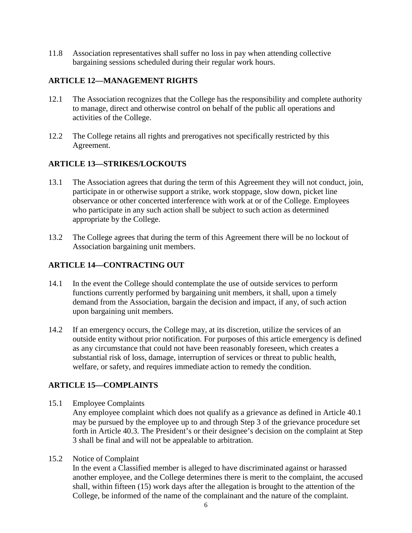11.8 Association representatives shall suffer no loss in pay when attending collective bargaining sessions scheduled during their regular work hours.

## **ARTICLE 12—MANAGEMENT RIGHTS**

- 12.1 The Association recognizes that the College has the responsibility and complete authority to manage, direct and otherwise control on behalf of the public all operations and activities of the College.
- 12.2 The College retains all rights and prerogatives not specifically restricted by this Agreement.

## **ARTICLE 13—STRIKES/LOCKOUTS**

- 13.1 The Association agrees that during the term of this Agreement they will not conduct, join, participate in or otherwise support a strike, work stoppage, slow down, picket line observance or other concerted interference with work at or of the College. Employees who participate in any such action shall be subject to such action as determined appropriate by the College.
- 13.2 The College agrees that during the term of this Agreement there will be no lockout of Association bargaining unit members.

## **ARTICLE 14—CONTRACTING OUT**

- 14.1 In the event the College should contemplate the use of outside services to perform functions currently performed by bargaining unit members, it shall, upon a timely demand from the Association, bargain the decision and impact, if any, of such action upon bargaining unit members.
- 14.2 If an emergency occurs, the College may, at its discretion, utilize the services of an outside entity without prior notification. For purposes of this article emergency is defined as any circumstance that could not have been reasonably foreseen, which creates a substantial risk of loss, damage, interruption of services or threat to public health, welfare, or safety, and requires immediate action to remedy the condition.

## **ARTICLE 15—COMPLAINTS**

15.1 Employee Complaints

Any employee complaint which does not qualify as a grievance as defined in Article 40.1 may be pursued by the employee up to and through Step 3 of the grievance procedure set forth in Article 40.3. The President's or their designee's decision on the complaint at Step 3 shall be final and will not be appealable to arbitration.

15.2 Notice of Complaint

In the event a Classified member is alleged to have discriminated against or harassed another employee, and the College determines there is merit to the complaint, the accused shall, within fifteen (15) work days after the allegation is brought to the attention of the College, be informed of the name of the complainant and the nature of the complaint.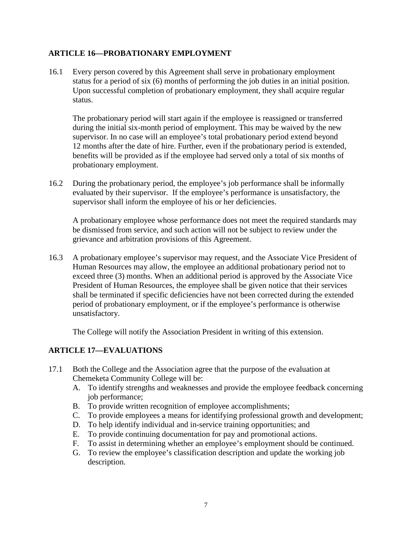## **ARTICLE 16—PROBATIONARY EMPLOYMENT**

16.1 Every person covered by this Agreement shall serve in probationary employment status for a period of six (6) months of performing the job duties in an initial position. Upon successful completion of probationary employment, they shall acquire regular status.

The probationary period will start again if the employee is reassigned or transferred during the initial six-month period of employment. This may be waived by the new supervisor. In no case will an employee's total probationary period extend beyond 12 months after the date of hire. Further, even if the probationary period is extended, benefits will be provided as if the employee had served only a total of six months of probationary employment.

16.2 During the probationary period, the employee's job performance shall be informally evaluated by their supervisor. If the employee's performance is unsatisfactory, the supervisor shall inform the employee of his or her deficiencies.

A probationary employee whose performance does not meet the required standards may be dismissed from service, and such action will not be subject to review under the grievance and arbitration provisions of this Agreement.

16.3 A probationary employee's supervisor may request, and the Associate Vice President of Human Resources may allow, the employee an additional probationary period not to exceed three (3) months. When an additional period is approved by the Associate Vice President of Human Resources, the employee shall be given notice that their services shall be terminated if specific deficiencies have not been corrected during the extended period of probationary employment, or if the employee's performance is otherwise unsatisfactory.

The College will notify the Association President in writing of this extension.

## **ARTICLE 17—EVALUATIONS**

- 17.1 Both the College and the Association agree that the purpose of the evaluation at Chemeketa Community College will be:
	- A. To identify strengths and weaknesses and provide the employee feedback concerning job performance;
	- B. To provide written recognition of employee accomplishments;
	- C. To provide employees a means for identifying professional growth and development;
	- D. To help identify individual and in-service training opportunities; and
	- E. To provide continuing documentation for pay and promotional actions.
	- F. To assist in determining whether an employee's employment should be continued.
	- G. To review the employee's classification description and update the working job description.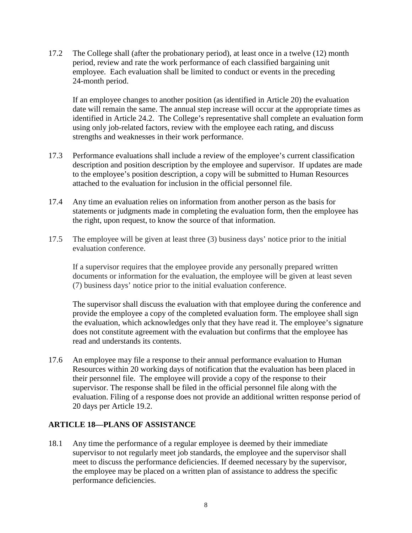17.2 The College shall (after the probationary period), at least once in a twelve (12) month period, review and rate the work performance of each classified bargaining unit employee. Each evaluation shall be limited to conduct or events in the preceding 24-month period.

If an employee changes to another position (as identified in Article 20) the evaluation date will remain the same. The annual step increase will occur at the appropriate times as identified in Article 24.2. The College's representative shall complete an evaluation form using only job-related factors, review with the employee each rating, and discuss strengths and weaknesses in their work performance.

- 17.3 Performance evaluations shall include a review of the employee's current classification description and position description by the employee and supervisor. If updates are made to the employee's position description, a copy will be submitted to Human Resources attached to the evaluation for inclusion in the official personnel file.
- 17.4 Any time an evaluation relies on information from another person as the basis for statements or judgments made in completing the evaluation form, then the employee has the right, upon request, to know the source of that information.
- 17.5 The employee will be given at least three (3) business days' notice prior to the initial evaluation conference.

If a supervisor requires that the employee provide any personally prepared written documents or information for the evaluation, the employee will be given at least seven (7) business days' notice prior to the initial evaluation conference.

The supervisor shall discuss the evaluation with that employee during the conference and provide the employee a copy of the completed evaluation form. The employee shall sign the evaluation, which acknowledges only that they have read it. The employee's signature does not constitute agreement with the evaluation but confirms that the employee has read and understands its contents.

17.6 An employee may file a response to their annual performance evaluation to Human Resources within 20 working days of notification that the evaluation has been placed in their personnel file. The employee will provide a copy of the response to their supervisor. The response shall be filed in the official personnel file along with the evaluation. Filing of a response does not provide an additional written response period of 20 days per Article 19.2.

#### **ARTICLE 18—PLANS OF ASSISTANCE**

18.1 Any time the performance of a regular employee is deemed by their immediate supervisor to not regularly meet job standards, the employee and the supervisor shall meet to discuss the performance deficiencies. If deemed necessary by the supervisor, the employee may be placed on a written plan of assistance to address the specific performance deficiencies.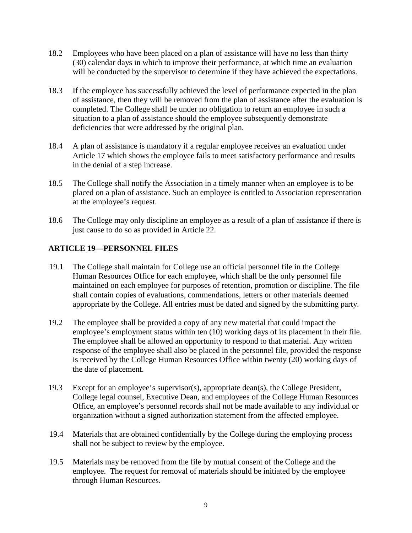- 18.2 Employees who have been placed on a plan of assistance will have no less than thirty (30) calendar days in which to improve their performance, at which time an evaluation will be conducted by the supervisor to determine if they have achieved the expectations.
- 18.3 If the employee has successfully achieved the level of performance expected in the plan of assistance, then they will be removed from the plan of assistance after the evaluation is completed. The College shall be under no obligation to return an employee in such a situation to a plan of assistance should the employee subsequently demonstrate deficiencies that were addressed by the original plan.
- 18.4 A plan of assistance is mandatory if a regular employee receives an evaluation under Article 17 which shows the employee fails to meet satisfactory performance and results in the denial of a step increase.
- 18.5 The College shall notify the Association in a timely manner when an employee is to be placed on a plan of assistance. Such an employee is entitled to Association representation at the employee's request.
- 18.6 The College may only discipline an employee as a result of a plan of assistance if there is just cause to do so as provided in Article 22.

## **ARTICLE 19—PERSONNEL FILES**

- 19.1 The College shall maintain for College use an official personnel file in the College Human Resources Office for each employee, which shall be the only personnel file maintained on each employee for purposes of retention, promotion or discipline. The file shall contain copies of evaluations, commendations, letters or other materials deemed appropriate by the College. All entries must be dated and signed by the submitting party.
- 19.2 The employee shall be provided a copy of any new material that could impact the employee's employment status within ten (10) working days of its placement in their file. The employee shall be allowed an opportunity to respond to that material. Any written response of the employee shall also be placed in the personnel file, provided the response is received by the College Human Resources Office within twenty (20) working days of the date of placement.
- 19.3 Except for an employee's supervisor(s), appropriate dean(s), the College President, College legal counsel, Executive Dean, and employees of the College Human Resources Office, an employee's personnel records shall not be made available to any individual or organization without a signed authorization statement from the affected employee.
- 19.4 Materials that are obtained confidentially by the College during the employing process shall not be subject to review by the employee.
- 19.5 Materials may be removed from the file by mutual consent of the College and the employee. The request for removal of materials should be initiated by the employee through Human Resources.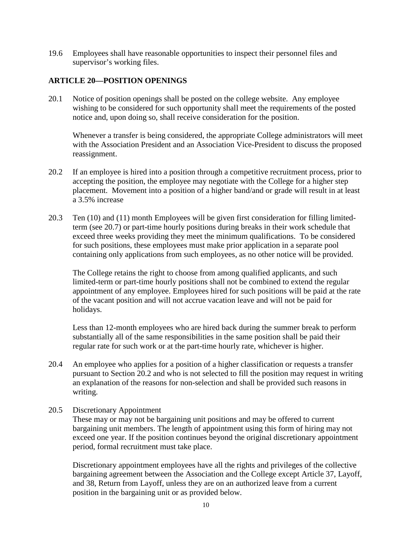19.6 Employees shall have reasonable opportunities to inspect their personnel files and supervisor's working files.

#### **ARTICLE 20—POSITION OPENINGS**

20.1 Notice of position openings shall be posted on the college website. Any employee wishing to be considered for such opportunity shall meet the requirements of the posted notice and, upon doing so, shall receive consideration for the position.

Whenever a transfer is being considered, the appropriate College administrators will meet with the Association President and an Association Vice-President to discuss the proposed reassignment.

- 20.2 If an employee is hired into a position through a competitive recruitment process, prior to accepting the position, the employee may negotiate with the College for a higher step placement. Movement into a position of a higher band/and or grade will result in at least a 3.5% increase
- 20.3 Ten (10) and (11) month Employees will be given first consideration for filling limitedterm (see 20.7) or part-time hourly positions during breaks in their work schedule that exceed three weeks providing they meet the minimum qualifications. To be considered for such positions, these employees must make prior application in a separate pool containing only applications from such employees, as no other notice will be provided.

The College retains the right to choose from among qualified applicants, and such limited-term or part-time hourly positions shall not be combined to extend the regular appointment of any employee. Employees hired for such positions will be paid at the rate of the vacant position and will not accrue vacation leave and will not be paid for holidays.

Less than 12-month employees who are hired back during the summer break to perform substantially all of the same responsibilities in the same position shall be paid their regular rate for such work or at the part-time hourly rate, whichever is higher.

- 20.4 An employee who applies for a position of a higher classification or requests a transfer pursuant to Section 20.2 and who is not selected to fill the position may request in writing an explanation of the reasons for non-selection and shall be provided such reasons in writing.
- 20.5 Discretionary Appointment

These may or may not be bargaining unit positions and may be offered to current bargaining unit members. The length of appointment using this form of hiring may not exceed one year. If the position continues beyond the original discretionary appointment period, formal recruitment must take place.

Discretionary appointment employees have all the rights and privileges of the collective bargaining agreement between the Association and the College except Article 37, Layoff, and 38, Return from Layoff, unless they are on an authorized leave from a current position in the bargaining unit or as provided below.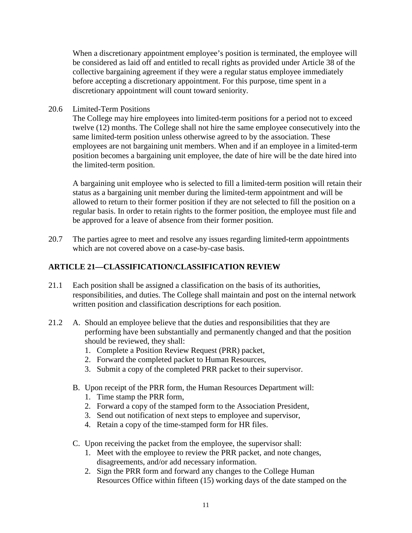When a discretionary appointment employee's position is terminated, the employee will be considered as laid off and entitled to recall rights as provided under Article 38 of the collective bargaining agreement if they were a regular status employee immediately before accepting a discretionary appointment. For this purpose, time spent in a discretionary appointment will count toward seniority.

20.6 Limited-Term Positions

The College may hire employees into limited-term positions for a period not to exceed twelve (12) months. The College shall not hire the same employee consecutively into the same limited-term position unless otherwise agreed to by the association. These employees are not bargaining unit members. When and if an employee in a limited-term position becomes a bargaining unit employee, the date of hire will be the date hired into the limited-term position.

A bargaining unit employee who is selected to fill a limited-term position will retain their status as a bargaining unit member during the limited-term appointment and will be allowed to return to their former position if they are not selected to fill the position on a regular basis. In order to retain rights to the former position, the employee must file and be approved for a leave of absence from their former position.

20.7 The parties agree to meet and resolve any issues regarding limited-term appointments which are not covered above on a case-by-case basis.

## **ARTICLE 21—CLASSIFICATION/CLASSIFICATION REVIEW**

- 21.1 Each position shall be assigned a classification on the basis of its authorities, responsibilities, and duties. The College shall maintain and post on the internal network written position and classification descriptions for each position.
- 21.2 A. Should an employee believe that the duties and responsibilities that they are performing have been substantially and permanently changed and that the position should be reviewed, they shall:
	- 1. Complete a Position Review Request (PRR) packet,
	- 2. Forward the completed packet to Human Resources,
	- 3. Submit a copy of the completed PRR packet to their supervisor.
	- B. Upon receipt of the PRR form, the Human Resources Department will:
		- 1. Time stamp the PRR form,
		- 2. Forward a copy of the stamped form to the Association President,
		- 3. Send out notification of next steps to employee and supervisor,
		- 4. Retain a copy of the time-stamped form for HR files.
	- C. Upon receiving the packet from the employee, the supervisor shall:
		- 1. Meet with the employee to review the PRR packet, and note changes, disagreements, and/or add necessary information.
		- 2. Sign the PRR form and forward any changes to the College Human Resources Office within fifteen (15) working days of the date stamped on the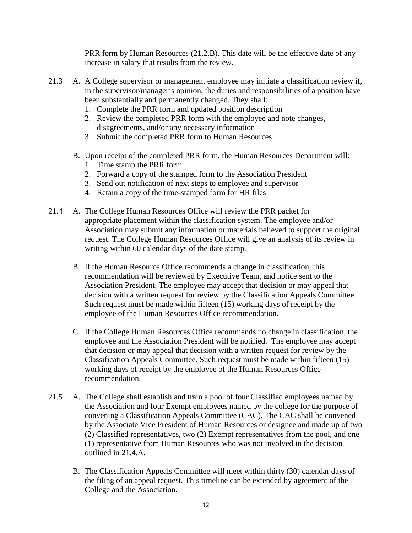PRR form by Human Resources (21.2.B). This date will be the effective date of any increase in salary that results from the review.

- 21.3 A. A College supervisor or management employee may initiate a classification review if, in the supervisor/manager's opinion, the duties and responsibilities of a position have been substantially and permanently changed. They shall:
	- 1. Complete the PRR form and updated position description
	- 2. Review the completed PRR form with the employee and note changes, disagreements, and/or any necessary information
	- 3. Submit the completed PRR form to Human Resources
	- B. Upon receipt of the completed PRR form, the Human Resources Department will:
		- 1. Time stamp the PRR form
		- 2. Forward a copy of the stamped form to the Association President
		- 3. Send out notification of next steps to employee and supervisor
		- 4. Retain a copy of the time-stamped form for HR files
- 21.4 A. The College Human Resources Office will review the PRR packet for appropriate placement within the classification system. The employee and/or Association may submit any information or materials believed to support the original request. The College Human Resources Office will give an analysis of its review in writing within 60 calendar days of the date stamp.
	- B. If the Human Resource Office recommends a change in classification, this recommendation will be reviewed by Executive Team, and notice sent to the Association President. The employee may accept that decision or may appeal that decision with a written request for review by the Classification Appeals Committee. Such request must be made within fifteen (15) working days of receipt by the employee of the Human Resources Office recommendation.
	- C. If the College Human Resources Office recommends no change in classification, the employee and the Association President will be notified. The employee may accept that decision or may appeal that decision with a written request for review by the Classification Appeals Committee. Such request must be made within fifteen (15) working days of receipt by the employee of the Human Resources Office recommendation.
- 21.5 A. The College shall establish and train a pool of four Classified employees named by the Association and four Exempt employees named by the college for the purpose of convening a Classification Appeals Committee (CAC). The CAC shall be convened by the Associate Vice President of Human Resources or designee and made up of two (2) Classified representatives, two (2) Exempt representatives from the pool, and one (1) representative from Human Resources who was not involved in the decision outlined in 21.4.A.
	- B. The Classification Appeals Committee will meet within thirty (30) calendar days of the filing of an appeal request. This timeline can be extended by agreement of the College and the Association.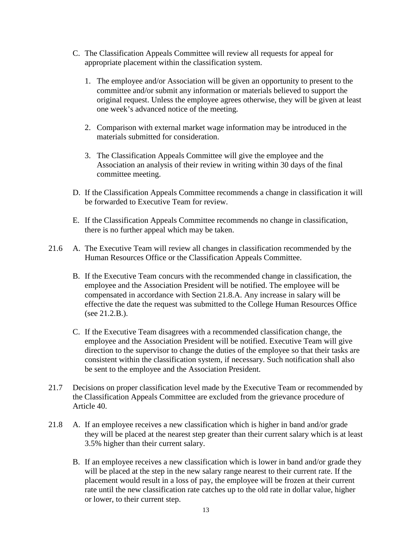- C. The Classification Appeals Committee will review all requests for appeal for appropriate placement within the classification system.
	- 1. The employee and/or Association will be given an opportunity to present to the committee and/or submit any information or materials believed to support the original request. Unless the employee agrees otherwise, they will be given at least one week's advanced notice of the meeting.
	- 2. Comparison with external market wage information may be introduced in the materials submitted for consideration.
	- 3. The Classification Appeals Committee will give the employee and the Association an analysis of their review in writing within 30 days of the final committee meeting.
- D. If the Classification Appeals Committee recommends a change in classification it will be forwarded to Executive Team for review.
- E. If the Classification Appeals Committee recommends no change in classification, there is no further appeal which may be taken.
- 21.6 A. The Executive Team will review all changes in classification recommended by the Human Resources Office or the Classification Appeals Committee.
	- B. If the Executive Team concurs with the recommended change in classification, the employee and the Association President will be notified. The employee will be compensated in accordance with Section 21.8.A. Any increase in salary will be effective the date the request was submitted to the College Human Resources Office (see 21.2.B.).
	- C. If the Executive Team disagrees with a recommended classification change, the employee and the Association President will be notified. Executive Team will give direction to the supervisor to change the duties of the employee so that their tasks are consistent within the classification system, if necessary. Such notification shall also be sent to the employee and the Association President.
- 21.7 Decisions on proper classification level made by the Executive Team or recommended by the Classification Appeals Committee are excluded from the grievance procedure of Article 40.
- 21.8 A. If an employee receives a new classification which is higher in band and/or grade they will be placed at the nearest step greater than their current salary which is at least 3.5% higher than their current salary.
	- B. If an employee receives a new classification which is lower in band and/or grade they will be placed at the step in the new salary range nearest to their current rate. If the placement would result in a loss of pay, the employee will be frozen at their current rate until the new classification rate catches up to the old rate in dollar value, higher or lower, to their current step.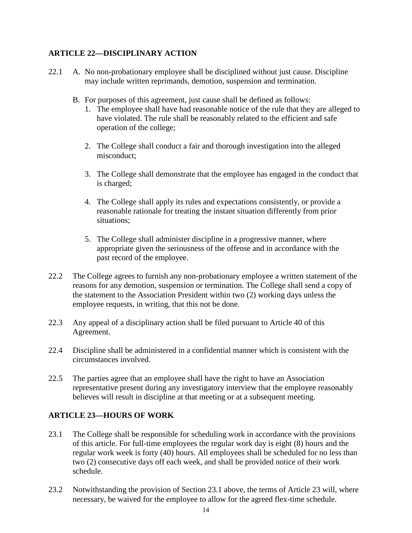## **ARTICLE 22—DISCIPLINARY ACTION**

- 22.1 A. No non-probationary employee shall be disciplined without just cause. Discipline may include written reprimands, demotion, suspension and termination.
	- B. For purposes of this agreement, just cause shall be defined as follows:
		- 1. The employee shall have had reasonable notice of the rule that they are alleged to have violated. The rule shall be reasonably related to the efficient and safe operation of the college;
		- 2. The College shall conduct a fair and thorough investigation into the alleged misconduct;
		- 3. The College shall demonstrate that the employee has engaged in the conduct that is charged;
		- 4. The College shall apply its rules and expectations consistently, or provide a reasonable rationale for treating the instant situation differently from prior situations;
		- 5. The College shall administer discipline in a progressive manner, where appropriate given the seriousness of the offense and in accordance with the past record of the employee.
- 22.2 The College agrees to furnish any non-probationary employee a written statement of the reasons for any demotion, suspension or termination. The College shall send a copy of the statement to the Association President within two (2) working days unless the employee requests, in writing, that this not be done.
- 22.3 Any appeal of a disciplinary action shall be filed pursuant to Article 40 of this Agreement.
- 22.4 Discipline shall be administered in a confidential manner which is consistent with the circumstances involved.
- 22.5 The parties agree that an employee shall have the right to have an Association representative present during any investigatory interview that the employee reasonably believes will result in discipline at that meeting or at a subsequent meeting.

## **ARTICLE 23—HOURS OF WORK**

- 23.1 The College shall be responsible for scheduling work in accordance with the provisions of this article. For full-time employees the regular work day is eight (8) hours and the regular work week is forty (40) hours. All employees shall be scheduled for no less than two (2) consecutive days off each week, and shall be provided notice of their work schedule.
- 23.2 Notwithstanding the provision of Section 23.1 above, the terms of Article 23 will, where necessary, be waived for the employee to allow for the agreed flex-time schedule.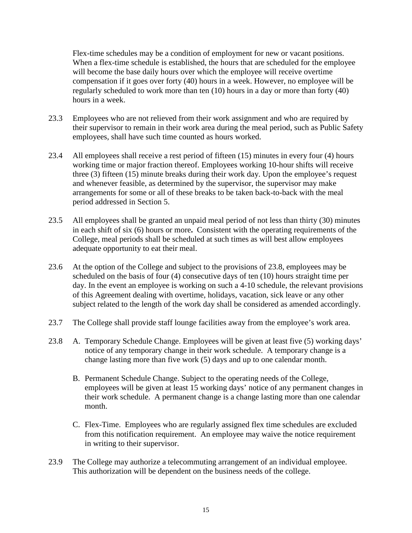Flex-time schedules may be a condition of employment for new or vacant positions. When a flex-time schedule is established, the hours that are scheduled for the employee will become the base daily hours over which the employee will receive overtime compensation if it goes over forty (40) hours in a week. However, no employee will be regularly scheduled to work more than ten (10) hours in a day or more than forty (40) hours in a week.

- 23.3 Employees who are not relieved from their work assignment and who are required by their supervisor to remain in their work area during the meal period, such as Public Safety employees, shall have such time counted as hours worked.
- 23.4 All employees shall receive a rest period of fifteen (15) minutes in every four (4) hours working time or major fraction thereof. Employees working 10-hour shifts will receive three (3) fifteen (15) minute breaks during their work day. Upon the employee's request and whenever feasible, as determined by the supervisor, the supervisor may make arrangements for some or all of these breaks to be taken back-to-back with the meal period addressed in Section 5.
- 23.5 All employees shall be granted an unpaid meal period of not less than thirty (30) minutes in each shift of six (6) hours or more**.** Consistent with the operating requirements of the College, meal periods shall be scheduled at such times as will best allow employees adequate opportunity to eat their meal.
- 23.6 At the option of the College and subject to the provisions of 23.8, employees may be scheduled on the basis of four (4) consecutive days of ten (10) hours straight time per day. In the event an employee is working on such a 4-10 schedule, the relevant provisions of this Agreement dealing with overtime, holidays, vacation, sick leave or any other subject related to the length of the work day shall be considered as amended accordingly.
- 23.7 The College shall provide staff lounge facilities away from the employee's work area.
- 23.8 A. Temporary Schedule Change. Employees will be given at least five (5) working days' notice of any temporary change in their work schedule. A temporary change is a change lasting more than five work (5) days and up to one calendar month.
	- B. Permanent Schedule Change. Subject to the operating needs of the College, employees will be given at least 15 working days' notice of any permanent changes in their work schedule. A permanent change is a change lasting more than one calendar month.
	- C. Flex-Time. Employees who are regularly assigned flex time schedules are excluded from this notification requirement. An employee may waive the notice requirement in writing to their supervisor.
- 23.9 The College may authorize a telecommuting arrangement of an individual employee. This authorization will be dependent on the business needs of the college.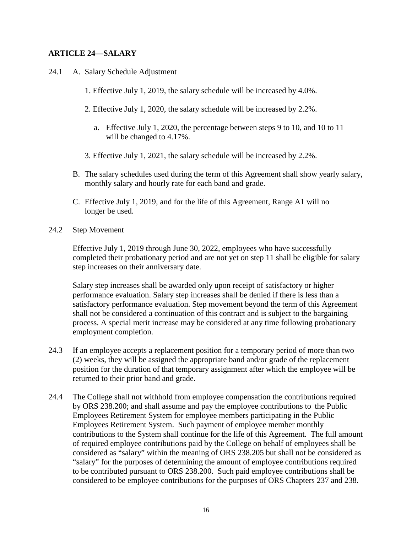#### **ARTICLE 24—SALARY**

- 24.1 A. Salary Schedule Adjustment
	- 1. Effective July 1, 2019, the salary schedule will be increased by 4.0%.
	- 2. Effective July 1, 2020, the salary schedule will be increased by 2.2%.
		- a. Effective July 1, 2020, the percentage between steps 9 to 10, and 10 to 11 will be changed to 4.17%.
	- 3. Effective July 1, 2021, the salary schedule will be increased by 2.2%.
	- B. The salary schedules used during the term of this Agreement shall show yearly salary, monthly salary and hourly rate for each band and grade.
	- C. Effective July 1, 2019, and for the life of this Agreement, Range A1 will no longer be used.
- 24.2 Step Movement

Effective July 1, 2019 through June 30, 2022, employees who have successfully completed their probationary period and are not yet on step 11 shall be eligible for salary step increases on their anniversary date.

Salary step increases shall be awarded only upon receipt of satisfactory or higher performance evaluation. Salary step increases shall be denied if there is less than a satisfactory performance evaluation. Step movement beyond the term of this Agreement shall not be considered a continuation of this contract and is subject to the bargaining process. A special merit increase may be considered at any time following probationary employment completion.

- 24.3 If an employee accepts a replacement position for a temporary period of more than two (2) weeks, they will be assigned the appropriate band and/or grade of the replacement position for the duration of that temporary assignment after which the employee will be returned to their prior band and grade.
- 24.4 The College shall not withhold from employee compensation the contributions required by ORS 238.200; and shall assume and pay the employee contributions to the Public Employees Retirement System for employee members participating in the Public Employees Retirement System. Such payment of employee member monthly contributions to the System shall continue for the life of this Agreement. The full amount of required employee contributions paid by the College on behalf of employees shall be considered as "salary" within the meaning of ORS 238.205 but shall not be considered as "salary" for the purposes of determining the amount of employee contributions required to be contributed pursuant to ORS 238.200. Such paid employee contributions shall be considered to be employee contributions for the purposes of ORS Chapters 237 and 238.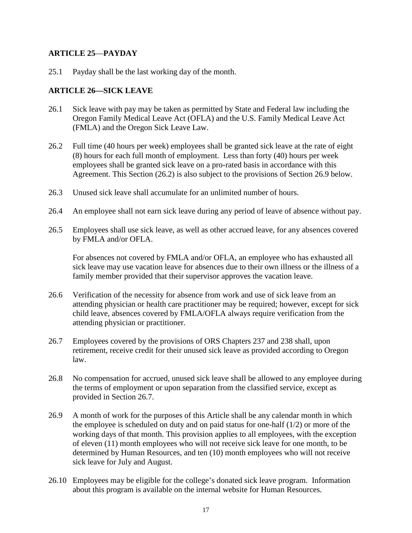## **ARTICLE 25**—**PAYDAY**

25.1 Payday shall be the last working day of the month.

## **ARTICLE 26—SICK LEAVE**

- 26.1 Sick leave with pay may be taken as permitted by State and Federal law including the Oregon Family Medical Leave Act (OFLA) and the U.S. Family Medical Leave Act (FMLA) and the Oregon Sick Leave Law.
- 26.2 Full time (40 hours per week) employees shall be granted sick leave at the rate of eight (8) hours for each full month of employment. Less than forty (40) hours per week employees shall be granted sick leave on a pro-rated basis in accordance with this Agreement. This Section (26.2) is also subject to the provisions of Section 26.9 below.
- 26.3 Unused sick leave shall accumulate for an unlimited number of hours.
- 26.4 An employee shall not earn sick leave during any period of leave of absence without pay.
- 26.5 Employees shall use sick leave, as well as other accrued leave, for any absences covered by FMLA and/or OFLA.

For absences not covered by FMLA and/or OFLA, an employee who has exhausted all sick leave may use vacation leave for absences due to their own illness or the illness of a family member provided that their supervisor approves the vacation leave.

- 26.6 Verification of the necessity for absence from work and use of sick leave from an attending physician or health care practitioner may be required; however, except for sick child leave, absences covered by FMLA/OFLA always require verification from the attending physician or practitioner.
- 26.7 Employees covered by the provisions of ORS Chapters 237 and 238 shall, upon retirement, receive credit for their unused sick leave as provided according to Oregon law.
- 26.8 No compensation for accrued, unused sick leave shall be allowed to any employee during the terms of employment or upon separation from the classified service, except as provided in Section 26.7.
- 26.9 A month of work for the purposes of this Article shall be any calendar month in which the employee is scheduled on duty and on paid status for one-half (1/2) or more of the working days of that month. This provision applies to all employees, with the exception of eleven (11) month employees who will not receive sick leave for one month, to be determined by Human Resources, and ten (10) month employees who will not receive sick leave for July and August.
- 26.10 Employees may be eligible for the college's donated sick leave program. Information about this program is available on the internal website for Human Resources.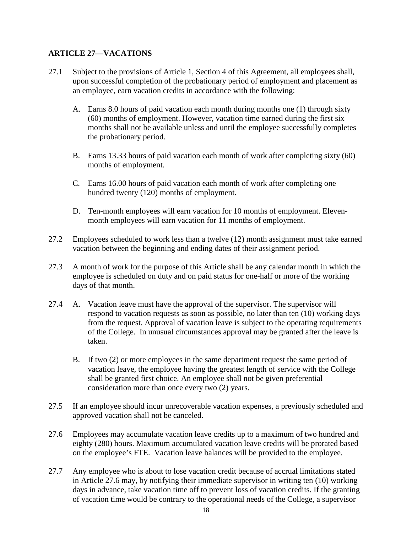## **ARTICLE 27—VACATIONS**

- 27.1 Subject to the provisions of Article 1, Section 4 of this Agreement, all employees shall, upon successful completion of the probationary period of employment and placement as an employee, earn vacation credits in accordance with the following:
	- A. Earns 8.0 hours of paid vacation each month during months one (1) through sixty (60) months of employment. However, vacation time earned during the first six months shall not be available unless and until the employee successfully completes the probationary period.
	- B. Earns 13.33 hours of paid vacation each month of work after completing sixty (60) months of employment.
	- C*.* Earns 16.00 hours of paid vacation each month of work after completing one hundred twenty (120) months of employment.
	- D. Ten-month employees will earn vacation for 10 months of employment. Elevenmonth employees will earn vacation for 11 months of employment.
- 27.2 Employees scheduled to work less than a twelve (12) month assignment must take earned vacation between the beginning and ending dates of their assignment period.
- 27.3 A month of work for the purpose of this Article shall be any calendar month in which the employee is scheduled on duty and on paid status for one-half or more of the working days of that month.
- 27.4 A. Vacation leave must have the approval of the supervisor. The supervisor will respond to vacation requests as soon as possible, no later than ten (10) working days from the request. Approval of vacation leave is subject to the operating requirements of the College. In unusual circumstances approval may be granted after the leave is taken.
	- B. If two (2) or more employees in the same department request the same period of vacation leave, the employee having the greatest length of service with the College shall be granted first choice. An employee shall not be given preferential consideration more than once every two (2) years.
- 27.5 If an employee should incur unrecoverable vacation expenses, a previously scheduled and approved vacation shall not be canceled.
- 27.6 Employees may accumulate vacation leave credits up to a maximum of two hundred and eighty (280) hours. Maximum accumulated vacation leave credits will be prorated based on the employee's FTE. Vacation leave balances will be provided to the employee.
- 27.7 Any employee who is about to lose vacation credit because of accrual limitations stated in Article 27.6 may, by notifying their immediate supervisor in writing ten (10) working days in advance, take vacation time off to prevent loss of vacation credits. If the granting of vacation time would be contrary to the operational needs of the College, a supervisor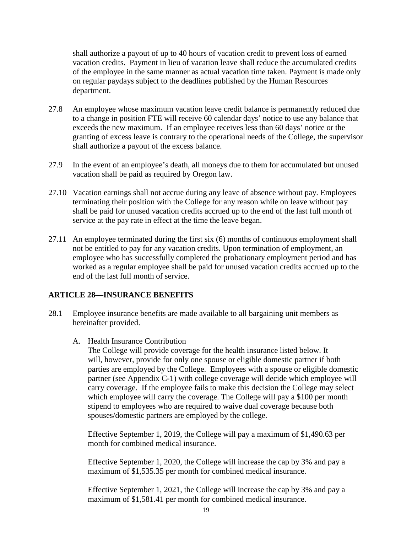shall authorize a payout of up to 40 hours of vacation credit to prevent loss of earned vacation credits. Payment in lieu of vacation leave shall reduce the accumulated credits of the employee in the same manner as actual vacation time taken. Payment is made only on regular paydays subject to the deadlines published by the Human Resources department.

- 27.8 An employee whose maximum vacation leave credit balance is permanently reduced due to a change in position FTE will receive 60 calendar days' notice to use any balance that exceeds the new maximum. If an employee receives less than 60 days' notice or the granting of excess leave is contrary to the operational needs of the College, the supervisor shall authorize a payout of the excess balance.
- 27.9 In the event of an employee's death, all moneys due to them for accumulated but unused vacation shall be paid as required by Oregon law.
- 27.10 Vacation earnings shall not accrue during any leave of absence without pay. Employees terminating their position with the College for any reason while on leave without pay shall be paid for unused vacation credits accrued up to the end of the last full month of service at the pay rate in effect at the time the leave began.
- 27.11 An employee terminated during the first six (6) months of continuous employment shall not be entitled to pay for any vacation credits. Upon termination of employment, an employee who has successfully completed the probationary employment period and has worked as a regular employee shall be paid for unused vacation credits accrued up to the end of the last full month of service.

## **ARTICLE 28—INSURANCE BENEFITS**

- 28.1 Employee insurance benefits are made available to all bargaining unit members as hereinafter provided.
	- A. Health Insurance Contribution

The College will provide coverage for the health insurance listed below. It will, however, provide for only one spouse or eligible domestic partner if both parties are employed by the College. Employees with a spouse or eligible domestic partner (see Appendix C-1) with college coverage will decide which employee will carry coverage. If the employee fails to make this decision the College may select which employee will carry the coverage. The College will pay a \$100 per month stipend to employees who are required to waive dual coverage because both spouses/domestic partners are employed by the college.

Effective September 1, 2019, the College will pay a maximum of \$1,490.63 per month for combined medical insurance.

Effective September 1, 2020, the College will increase the cap by 3% and pay a maximum of \$1,535.35 per month for combined medical insurance.

Effective September 1, 2021, the College will increase the cap by 3% and pay a maximum of \$1,581.41 per month for combined medical insurance.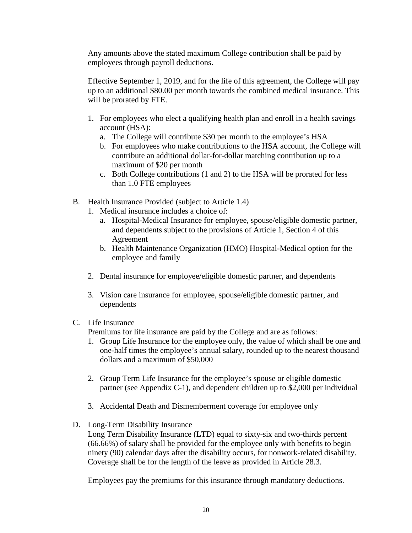Any amounts above the stated maximum College contribution shall be paid by employees through payroll deductions.

Effective September 1, 2019, and for the life of this agreement, the College will pay up to an additional \$80.00 per month towards the combined medical insurance. This will be prorated by FTE.

- 1. For employees who elect a qualifying health plan and enroll in a health savings account (HSA):
	- a. The College will contribute \$30 per month to the employee's HSA
	- b. For employees who make contributions to the HSA account, the College will contribute an additional dollar-for-dollar matching contribution up to a maximum of \$20 per month
	- c. Both College contributions (1 and 2) to the HSA will be prorated for less than 1.0 FTE employees
- B. Health Insurance Provided (subject to Article 1.4)
	- 1. Medical insurance includes a choice of:
		- a. Hospital-Medical Insurance for employee, spouse/eligible domestic partner, and dependents subject to the provisions of Article 1, Section 4 of this Agreement
		- b. Health Maintenance Organization (HMO) Hospital-Medical option for the employee and family
	- 2. Dental insurance for employee/eligible domestic partner, and dependents
	- 3. Vision care insurance for employee, spouse/eligible domestic partner, and dependents
- C. Life Insurance

Premiums for life insurance are paid by the College and are as follows:

- 1. Group Life Insurance for the employee only, the value of which shall be one and one-half times the employee's annual salary, rounded up to the nearest thousand dollars and a maximum of \$50,000
- 2. Group Term Life Insurance for the employee's spouse or eligible domestic partner (see Appendix C-1), and dependent children up to \$2,000 per individual
- 3. Accidental Death and Dismemberment coverage for employee only
- D. Long-Term Disability Insurance
	- Long Term Disability Insurance (LTD) equal to sixty-six and two-thirds percent (66.66%) of salary shall be provided for the employee only with benefits to begin ninety (90) calendar days after the disability occurs, for nonwork-related disability. Coverage shall be for the length of the leave as provided in Article 28.3.

Employees pay the premiums for this insurance through mandatory deductions.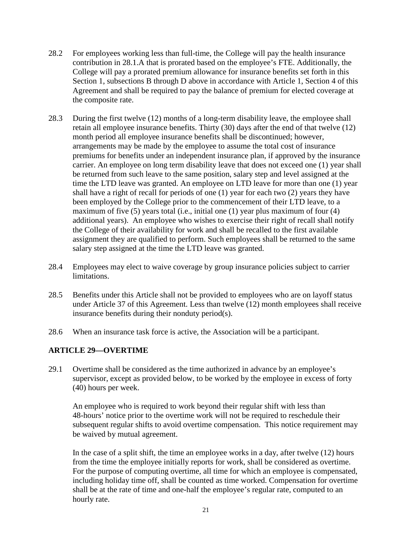- 28.2 For employees working less than full-time, the College will pay the health insurance contribution in 28.1.A that is prorated based on the employee's FTE. Additionally, the College will pay a prorated premium allowance for insurance benefits set forth in this Section 1, subsections B through D above in accordance with Article 1, Section 4 of this Agreement and shall be required to pay the balance of premium for elected coverage at the composite rate.
- 28.3 During the first twelve (12) months of a long-term disability leave, the employee shall retain all employee insurance benefits. Thirty (30) days after the end of that twelve (12) month period all employee insurance benefits shall be discontinued; however, arrangements may be made by the employee to assume the total cost of insurance premiums for benefits under an independent insurance plan, if approved by the insurance carrier. An employee on long term disability leave that does not exceed one (1) year shall be returned from such leave to the same position, salary step and level assigned at the time the LTD leave was granted. An employee on LTD leave for more than one (1) year shall have a right of recall for periods of one (1) year for each two (2) years they have been employed by the College prior to the commencement of their LTD leave, to a maximum of five (5) years total (i.e., initial one (1) year plus maximum of four (4) additional years). An employee who wishes to exercise their right of recall shall notify the College of their availability for work and shall be recalled to the first available assignment they are qualified to perform. Such employees shall be returned to the same salary step assigned at the time the LTD leave was granted.
- 28.4 Employees may elect to waive coverage by group insurance policies subject to carrier limitations.
- 28.5 Benefits under this Article shall not be provided to employees who are on layoff status under Article 37 of this Agreement. Less than twelve (12) month employees shall receive insurance benefits during their nonduty period(s).
- 28.6 When an insurance task force is active, the Association will be a participant.

#### **ARTICLE 29—OVERTIME**

29.1 Overtime shall be considered as the time authorized in advance by an employee's supervisor, except as provided below, to be worked by the employee in excess of forty (40) hours per week.

An employee who is required to work beyond their regular shift with less than 48-hours' notice prior to the overtime work will not be required to reschedule their subsequent regular shifts to avoid overtime compensation. This notice requirement may be waived by mutual agreement.

In the case of a split shift, the time an employee works in a day, after twelve (12) hours from the time the employee initially reports for work, shall be considered as overtime. For the purpose of computing overtime, all time for which an employee is compensated, including holiday time off, shall be counted as time worked. Compensation for overtime shall be at the rate of time and one-half the employee's regular rate, computed to an hourly rate.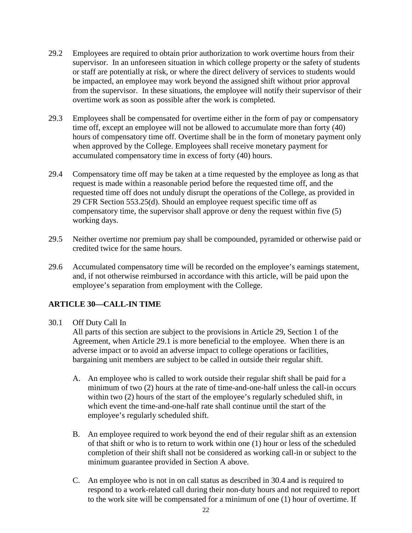- 29.2 Employees are required to obtain prior authorization to work overtime hours from their supervisor. In an unforeseen situation in which college property or the safety of students or staff are potentially at risk, or where the direct delivery of services to students would be impacted, an employee may work beyond the assigned shift without prior approval from the supervisor. In these situations, the employee will notify their supervisor of their overtime work as soon as possible after the work is completed.
- 29.3 Employees shall be compensated for overtime either in the form of pay or compensatory time off, except an employee will not be allowed to accumulate more than forty (40) hours of compensatory time off. Overtime shall be in the form of monetary payment only when approved by the College. Employees shall receive monetary payment for accumulated compensatory time in excess of forty (40) hours.
- 29.4 Compensatory time off may be taken at a time requested by the employee as long as that request is made within a reasonable period before the requested time off, and the requested time off does not unduly disrupt the operations of the College, as provided in 29 CFR Section 553.25(d). Should an employee request specific time off as compensatory time, the supervisor shall approve or deny the request within five (5) working days.
- 29.5 Neither overtime nor premium pay shall be compounded, pyramided or otherwise paid or credited twice for the same hours.
- 29.6 Accumulated compensatory time will be recorded on the employee's earnings statement, and, if not otherwise reimbursed in accordance with this article, will be paid upon the employee's separation from employment with the College.

## **ARTICLE 30—CALL-IN TIME**

#### 30.1 Off Duty Call In

All parts of this section are subject to the provisions in Article 29, Section 1 of the Agreement, when Article 29.1 is more beneficial to the employee. When there is an adverse impact or to avoid an adverse impact to college operations or facilities, bargaining unit members are subject to be called in outside their regular shift.

- A. An employee who is called to work outside their regular shift shall be paid for a minimum of two (2) hours at the rate of time-and-one-half unless the call-in occurs within two (2) hours of the start of the employee's regularly scheduled shift, in which event the time-and-one-half rate shall continue until the start of the employee's regularly scheduled shift.
- B. An employee required to work beyond the end of their regular shift as an extension of that shift or who is to return to work within one (1) hour or less of the scheduled completion of their shift shall not be considered as working call-in or subject to the minimum guarantee provided in Section A above.
- C. An employee who is not in on call status as described in 30.4 and is required to respond to a work-related call during their non-duty hours and not required to report to the work site will be compensated for a minimum of one (1) hour of overtime. If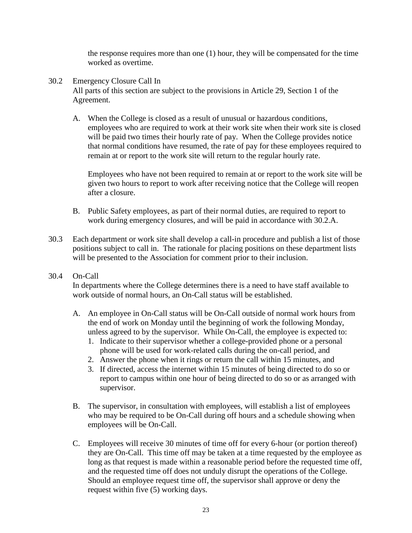the response requires more than one (1) hour, they will be compensated for the time worked as overtime.

- 30.2 Emergency Closure Call In All parts of this section are subject to the provisions in Article 29, Section 1 of the Agreement.
	- A. When the College is closed as a result of unusual or hazardous conditions, employees who are required to work at their work site when their work site is closed will be paid two times their hourly rate of pay. When the College provides notice that normal conditions have resumed, the rate of pay for these employees required to remain at or report to the work site will return to the regular hourly rate.

Employees who have not been required to remain at or report to the work site will be given two hours to report to work after receiving notice that the College will reopen after a closure.

- B. Public Safety employees, as part of their normal duties, are required to report to work during emergency closures, and will be paid in accordance with 30.2.A.
- 30.3 Each department or work site shall develop a call-in procedure and publish a list of those positions subject to call in. The rationale for placing positions on these department lists will be presented to the Association for comment prior to their inclusion.
- 30.4 On-Call

In departments where the College determines there is a need to have staff available to work outside of normal hours, an On-Call status will be established.

- A. An employee in On-Call status will be On-Call outside of normal work hours from the end of work on Monday until the beginning of work the following Monday, unless agreed to by the supervisor. While On-Call, the employee is expected to:
	- 1. Indicate to their supervisor whether a college-provided phone or a personal phone will be used for work-related calls during the on-call period, and
	- 2. Answer the phone when it rings or return the call within 15 minutes, and
	- 3. If directed, access the internet within 15 minutes of being directed to do so or report to campus within one hour of being directed to do so or as arranged with supervisor.
- B. The supervisor, in consultation with employees, will establish a list of employees who may be required to be On-Call during off hours and a schedule showing when employees will be On-Call.
- C. Employees will receive 30 minutes of time off for every 6-hour (or portion thereof) they are On-Call. This time off may be taken at a time requested by the employee as long as that request is made within a reasonable period before the requested time off, and the requested time off does not unduly disrupt the operations of the College. Should an employee request time off, the supervisor shall approve or deny the request within five (5) working days.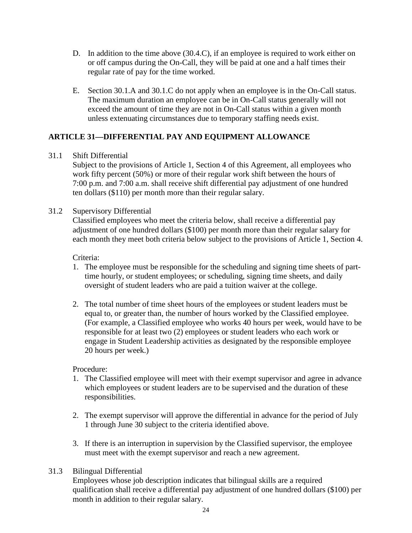- D. In addition to the time above (30.4.C), if an employee is required to work either on or off campus during the On-Call, they will be paid at one and a half times their regular rate of pay for the time worked.
- E. Section 30.1.A and 30.1.C do not apply when an employee is in the On-Call status. The maximum duration an employee can be in On-Call status generally will not exceed the amount of time they are not in On-Call status within a given month unless extenuating circumstances due to temporary staffing needs exist.

## **ARTICLE 31—DIFFERENTIAL PAY AND EQUIPMENT ALLOWANCE**

#### 31.1 Shift Differential

Subject to the provisions of Article 1, Section 4 of this Agreement, all employees who work fifty percent (50%) or more of their regular work shift between the hours of 7:00 p.m. and 7:00 a.m. shall receive shift differential pay adjustment of one hundred ten dollars (\$110) per month more than their regular salary.

#### 31.2 Supervisory Differential

Classified employees who meet the criteria below, shall receive a differential pay adjustment of one hundred dollars (\$100) per month more than their regular salary for each month they meet both criteria below subject to the provisions of Article 1, Section 4.

#### Criteria:

- 1. The employee must be responsible for the scheduling and signing time sheets of parttime hourly, or student employees; or scheduling, signing time sheets, and daily oversight of student leaders who are paid a tuition waiver at the college.
- 2. The total number of time sheet hours of the employees or student leaders must be equal to, or greater than, the number of hours worked by the Classified employee. (For example, a Classified employee who works 40 hours per week, would have to be responsible for at least two (2) employees or student leaders who each work or engage in Student Leadership activities as designated by the responsible employee 20 hours per week.)

#### Procedure:

- 1. The Classified employee will meet with their exempt supervisor and agree in advance which employees or student leaders are to be supervised and the duration of these responsibilities.
- 2. The exempt supervisor will approve the differential in advance for the period of July 1 through June 30 subject to the criteria identified above.
- 3. If there is an interruption in supervision by the Classified supervisor, the employee must meet with the exempt supervisor and reach a new agreement.

## 31.3 Bilingual Differential

Employees whose job description indicates that bilingual skills are a required qualification shall receive a differential pay adjustment of one hundred dollars (\$100) per month in addition to their regular salary.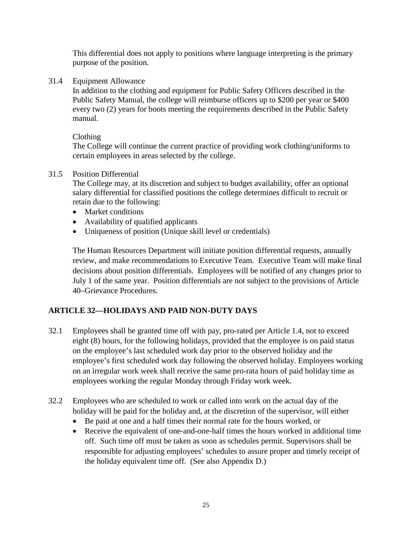This differential does not apply to positions where language interpreting is the primary purpose of the position.

31.4 Equipment Allowance

In addition to the clothing and equipment for Public Safety Officers described in the Public Safety Manual, the college will reimburse officers up to \$200 per year or \$400 every two (2) years for boots meeting the requirements described in the Public Safety manual.

#### Clothing

The College will continue the current practice of providing work clothing/uniforms to certain employees in areas selected by the college.

#### 31.5 Position Differential

The College may, at its discretion and subject to budget availability, offer an optional salary differential for classified positions the college determines difficult to recruit or retain due to the following:

- Market conditions
- Availability of qualified applicants
- Uniqueness of position (Unique skill level or credentials)

The Human Resources Department will initiate position differential requests, annually review, and make recommendations to Executive Team. Executive Team will make final decisions about position differentials. Employees will be notified of any changes prior to July 1 of the same year. Position differentials are not subject to the provisions of Article 40–Grievance Procedures.

## **ARTICLE 32—HOLIDAYS AND PAID NON-DUTY DAYS**

- 32.1 Employees shall be granted time off with pay, pro-rated per Article 1.4, not to exceed eight (8) hours, for the following holidays, provided that the employee is on paid status on the employee's last scheduled work day prior to the observed holiday and the employee's first scheduled work day following the observed holiday. Employees working on an irregular work week shall receive the same pro-rata hours of paid holiday time as employees working the regular Monday through Friday work week.
- 32.2 Employees who are scheduled to work or called into work on the actual day of the holiday will be paid for the holiday and, at the discretion of the supervisor, will either
	- Be paid at one and a half times their normal rate for the hours worked, or
	- Receive the equivalent of one-and-one-half times the hours worked in additional time off. Such time off must be taken as soon as schedules permit. Supervisors shall be responsible for adjusting employees' schedules to assure proper and timely receipt of the holiday equivalent time off. (See also Appendix D.)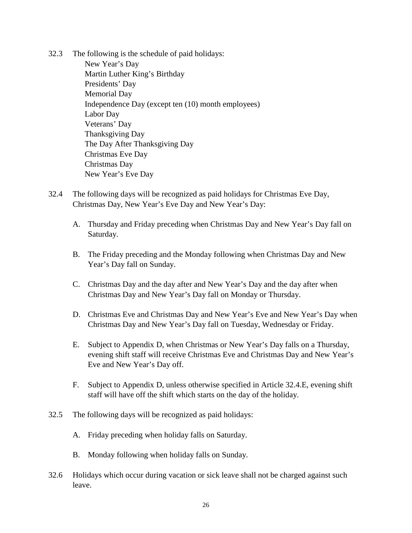- 32.3 The following is the schedule of paid holidays: New Year's Day Martin Luther King's Birthday Presidents' Day Memorial Day Independence Day (except ten (10) month employees) Labor Day Veterans' Day Thanksgiving Day The Day After Thanksgiving Day Christmas Eve Day Christmas Day New Year's Eve Day
- 32.4 The following days will be recognized as paid holidays for Christmas Eve Day, Christmas Day, New Year's Eve Day and New Year's Day:
	- A. Thursday and Friday preceding when Christmas Day and New Year's Day fall on Saturday.
	- B. The Friday preceding and the Monday following when Christmas Day and New Year's Day fall on Sunday.
	- C. Christmas Day and the day after and New Year's Day and the day after when Christmas Day and New Year's Day fall on Monday or Thursday.
	- D. Christmas Eve and Christmas Day and New Year's Eve and New Year's Day when Christmas Day and New Year's Day fall on Tuesday, Wednesday or Friday.
	- E. Subject to Appendix D, when Christmas or New Year's Day falls on a Thursday, evening shift staff will receive Christmas Eve and Christmas Day and New Year's Eve and New Year's Day off.
	- F. Subject to Appendix D, unless otherwise specified in Article 32.4.E, evening shift staff will have off the shift which starts on the day of the holiday.
- 32.5 The following days will be recognized as paid holidays:
	- A. Friday preceding when holiday falls on Saturday.
	- B. Monday following when holiday falls on Sunday.
- 32.6 Holidays which occur during vacation or sick leave shall not be charged against such leave.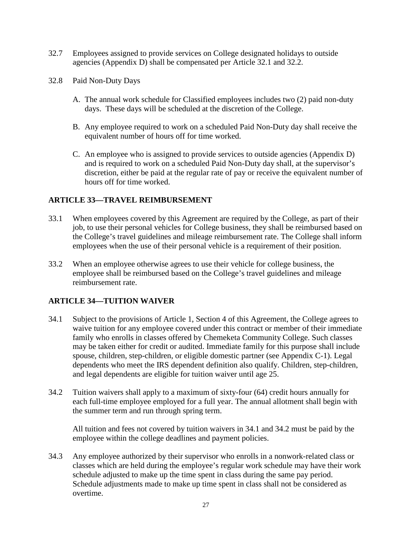- 32.7 Employees assigned to provide services on College designated holidays to outside agencies (Appendix D) shall be compensated per Article 32.1 and 32.2.
- 32.8 Paid Non-Duty Days
	- A. The annual work schedule for Classified employees includes two (2) paid non-duty days. These days will be scheduled at the discretion of the College.
	- B. Any employee required to work on a scheduled Paid Non-Duty day shall receive the equivalent number of hours off for time worked.
	- C. An employee who is assigned to provide services to outside agencies (Appendix D) and is required to work on a scheduled Paid Non-Duty day shall, at the supervisor's discretion, either be paid at the regular rate of pay or receive the equivalent number of hours off for time worked.

## **ARTICLE 33—TRAVEL REIMBURSEMENT**

- 33.1 When employees covered by this Agreement are required by the College, as part of their job, to use their personal vehicles for College business, they shall be reimbursed based on the College's travel guidelines and mileage reimbursement rate. The College shall inform employees when the use of their personal vehicle is a requirement of their position.
- 33.2 When an employee otherwise agrees to use their vehicle for college business, the employee shall be reimbursed based on the College's travel guidelines and mileage reimbursement rate.

## **ARTICLE 34—TUITION WAIVER**

- 34.1 Subject to the provisions of Article 1, Section 4 of this Agreement, the College agrees to waive tuition for any employee covered under this contract or member of their immediate family who enrolls in classes offered by Chemeketa Community College. Such classes may be taken either for credit or audited. Immediate family for this purpose shall include spouse, children, step-children, or eligible domestic partner (see Appendix C-1). Legal dependents who meet the IRS dependent definition also qualify. Children, step-children, and legal dependents are eligible for tuition waiver until age 25.
- 34.2 Tuition waivers shall apply to a maximum of sixty-four (64) credit hours annually for each full-time employee employed for a full year. The annual allotment shall begin with the summer term and run through spring term.

All tuition and fees not covered by tuition waivers in 34.1 and 34.2 must be paid by the employee within the college deadlines and payment policies.

34.3 Any employee authorized by their supervisor who enrolls in a nonwork-related class or classes which are held during the employee's regular work schedule may have their work schedule adjusted to make up the time spent in class during the same pay period. Schedule adjustments made to make up time spent in class shall not be considered as overtime.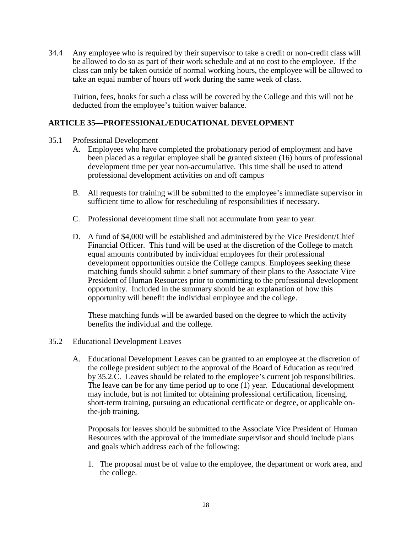34.4 Any employee who is required by their supervisor to take a credit or non-credit class will be allowed to do so as part of their work schedule and at no cost to the employee. If the class can only be taken outside of normal working hours, the employee will be allowed to take an equal number of hours off work during the same week of class.

Tuition, fees, books for such a class will be covered by the College and this will not be deducted from the employee's tuition waiver balance.

#### **ARTICLE 35—PROFESSIONAL/EDUCATIONAL DEVELOPMENT**

- 35.1 Professional Development
	- A. Employees who have completed the probationary period of employment and have been placed as a regular employee shall be granted sixteen (16) hours of professional development time per year non-accumulative. This time shall be used to attend professional development activities on and off campus
	- B. All requests for training will be submitted to the employee's immediate supervisor in sufficient time to allow for rescheduling of responsibilities if necessary.
	- C. Professional development time shall not accumulate from year to year.
	- D. A fund of \$4,000 will be established and administered by the Vice President/Chief Financial Officer. This fund will be used at the discretion of the College to match equal amounts contributed by individual employees for their professional development opportunities outside the College campus. Employees seeking these matching funds should submit a brief summary of their plans to the Associate Vice President of Human Resources prior to committing to the professional development opportunity. Included in the summary should be an explanation of how this opportunity will benefit the individual employee and the college.

These matching funds will be awarded based on the degree to which the activity benefits the individual and the college.

- 35.2 Educational Development Leaves
	- A. Educational Development Leaves can be granted to an employee at the discretion of the college president subject to the approval of the Board of Education as required by 35.2.C. Leaves should be related to the employee's current job responsibilities. The leave can be for any time period up to one (1) year. Educational development may include, but is not limited to: obtaining professional certification, licensing, short-term training, pursuing an educational certificate or degree, or applicable onthe-job training.

Proposals for leaves should be submitted to the Associate Vice President of Human Resources with the approval of the immediate supervisor and should include plans and goals which address each of the following:

1. The proposal must be of value to the employee, the department or work area, and the college.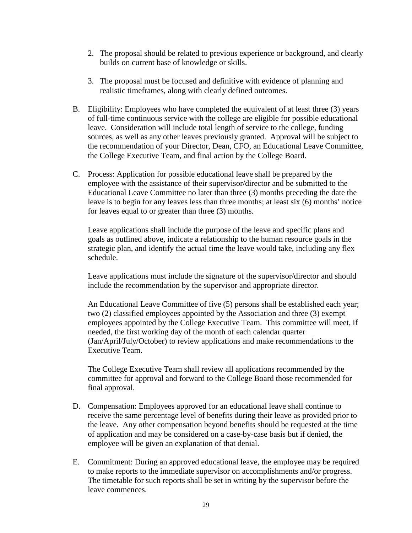- 2. The proposal should be related to previous experience or background, and clearly builds on current base of knowledge or skills.
- 3. The proposal must be focused and definitive with evidence of planning and realistic timeframes, along with clearly defined outcomes.
- B. Eligibility: Employees who have completed the equivalent of at least three (3) years of full-time continuous service with the college are eligible for possible educational leave. Consideration will include total length of service to the college, funding sources, as well as any other leaves previously granted. Approval will be subject to the recommendation of your Director, Dean, CFO, an Educational Leave Committee, the College Executive Team, and final action by the College Board.
- C. Process: Application for possible educational leave shall be prepared by the employee with the assistance of their supervisor/director and be submitted to the Educational Leave Committee no later than three (3) months preceding the date the leave is to begin for any leaves less than three months; at least six (6) months' notice for leaves equal to or greater than three (3) months.

Leave applications shall include the purpose of the leave and specific plans and goals as outlined above, indicate a relationship to the human resource goals in the strategic plan, and identify the actual time the leave would take, including any flex schedule.

Leave applications must include the signature of the supervisor/director and should include the recommendation by the supervisor and appropriate director.

An Educational Leave Committee of five (5) persons shall be established each year; two (2) classified employees appointed by the Association and three (3) exempt employees appointed by the College Executive Team. This committee will meet, if needed, the first working day of the month of each calendar quarter (Jan/April/July/October) to review applications and make recommendations to the Executive Team.

The College Executive Team shall review all applications recommended by the committee for approval and forward to the College Board those recommended for final approval.

- D. Compensation: Employees approved for an educational leave shall continue to receive the same percentage level of benefits during their leave as provided prior to the leave. Any other compensation beyond benefits should be requested at the time of application and may be considered on a case-by-case basis but if denied, the employee will be given an explanation of that denial.
- E. Commitment: During an approved educational leave, the employee may be required to make reports to the immediate supervisor on accomplishments and/or progress. The timetable for such reports shall be set in writing by the supervisor before the leave commences.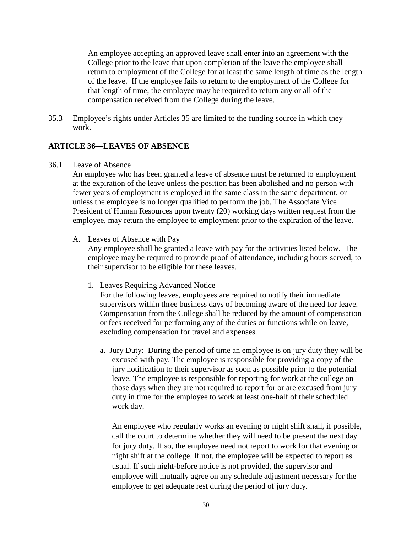An employee accepting an approved leave shall enter into an agreement with the College prior to the leave that upon completion of the leave the employee shall return to employment of the College for at least the same length of time as the length of the leave. If the employee fails to return to the employment of the College for that length of time, the employee may be required to return any or all of the compensation received from the College during the leave.

35.3 Employee's rights under Articles 35 are limited to the funding source in which they work.

#### **ARTICLE 36—LEAVES OF ABSENCE**

36.1 Leave of Absence

An employee who has been granted a leave of absence must be returned to employment at the expiration of the leave unless the position has been abolished and no person with fewer years of employment is employed in the same class in the same department, or unless the employee is no longer qualified to perform the job. The Associate Vice President of Human Resources upon twenty (20) working days written request from the employee, may return the employee to employment prior to the expiration of the leave.

A. Leaves of Absence with Pay

Any employee shall be granted a leave with pay for the activities listed below. The employee may be required to provide proof of attendance, including hours served, to their supervisor to be eligible for these leaves.

1. Leaves Requiring Advanced Notice

For the following leaves, employees are required to notify their immediate supervisors within three business days of becoming aware of the need for leave. Compensation from the College shall be reduced by the amount of compensation or fees received for performing any of the duties or functions while on leave, excluding compensation for travel and expenses.

a. Jury Duty: During the period of time an employee is on jury duty they will be excused with pay. The employee is responsible for providing a copy of the jury notification to their supervisor as soon as possible prior to the potential leave. The employee is responsible for reporting for work at the college on those days when they are not required to report for or are excused from jury duty in time for the employee to work at least one-half of their scheduled work day.

An employee who regularly works an evening or night shift shall, if possible, call the court to determine whether they will need to be present the next day for jury duty. If so, the employee need not report to work for that evening or night shift at the college. If not, the employee will be expected to report as usual. If such night-before notice is not provided, the supervisor and employee will mutually agree on any schedule adjustment necessary for the employee to get adequate rest during the period of jury duty.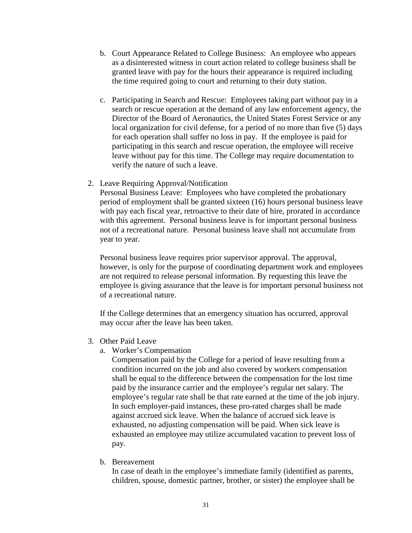- b. Court Appearance Related to College Business: An employee who appears as a disinterested witness in court action related to college business shall be granted leave with pay for the hours their appearance is required including the time required going to court and returning to their duty station.
- c. Participating in Search and Rescue: Employees taking part without pay in a search or rescue operation at the demand of any law enforcement agency, the Director of the Board of Aeronautics, the United States Forest Service or any local organization for civil defense, for a period of no more than five (5) days for each operation shall suffer no loss in pay. If the employee is paid for participating in this search and rescue operation, the employee will receive leave without pay for this time. The College may require documentation to verify the nature of such a leave.
- 2. Leave Requiring Approval/Notification

Personal Business Leave: Employees who have completed the probationary period of employment shall be granted sixteen (16) hours personal business leave with pay each fiscal year, retroactive to their date of hire, prorated in accordance with this agreement. Personal business leave is for important personal business not of a recreational nature. Personal business leave shall not accumulate from year to year.

Personal business leave requires prior supervisor approval. The approval, however, is only for the purpose of coordinating department work and employees are not required to release personal information. By requesting this leave the employee is giving assurance that the leave is for important personal business not of a recreational nature.

If the College determines that an emergency situation has occurred, approval may occur after the leave has been taken.

- 3. Other Paid Leave
	- a. Worker's Compensation

Compensation paid by the College for a period of leave resulting from a condition incurred on the job and also covered by workers compensation shall be equal to the difference between the compensation for the lost time paid by the insurance carrier and the employee's regular net salary. The employee's regular rate shall be that rate earned at the time of the job injury. In such employer-paid instances, these pro-rated charges shall be made against accrued sick leave. When the balance of accrued sick leave is exhausted, no adjusting compensation will be paid. When sick leave is exhausted an employee may utilize accumulated vacation to prevent loss of pay.

b. Bereavement

In case of death in the employee's immediate family (identified as parents, children, spouse, domestic partner, brother, or sister) the employee shall be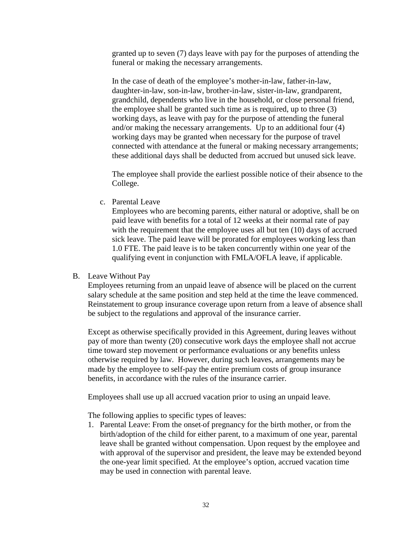granted up to seven (7) days leave with pay for the purposes of attending the funeral or making the necessary arrangements.

In the case of death of the employee's mother-in-law, father-in-law, daughter-in-law, son-in-law, brother-in-law, sister-in-law, grandparent, grandchild, dependents who live in the household, or close personal friend, the employee shall be granted such time as is required, up to three (3) working days, as leave with pay for the purpose of attending the funeral and/or making the necessary arrangements. Up to an additional four (4) working days may be granted when necessary for the purpose of travel connected with attendance at the funeral or making necessary arrangements; these additional days shall be deducted from accrued but unused sick leave.

The employee shall provide the earliest possible notice of their absence to the College.

c. Parental Leave

Employees who are becoming parents, either natural or adoptive, shall be on paid leave with benefits for a total of 12 weeks at their normal rate of pay with the requirement that the employee uses all but ten (10) days of accrued sick leave. The paid leave will be prorated for employees working less than 1.0 FTE. The paid leave is to be taken concurrently within one year of the qualifying event in conjunction with FMLA/OFLA leave, if applicable.

#### B. Leave Without Pay

Employees returning from an unpaid leave of absence will be placed on the current salary schedule at the same position and step held at the time the leave commenced. Reinstatement to group insurance coverage upon return from a leave of absence shall be subject to the regulations and approval of the insurance carrier.

Except as otherwise specifically provided in this Agreement, during leaves without pay of more than twenty (20) consecutive work days the employee shall not accrue time toward step movement or performance evaluations or any benefits unless otherwise required by law. However, during such leaves, arrangements may be made by the employee to self-pay the entire premium costs of group insurance benefits, in accordance with the rules of the insurance carrier.

Employees shall use up all accrued vacation prior to using an unpaid leave.

The following applies to specific types of leaves:

1. Parental Leave: From the onset of pregnancy for the birth mother, or from the birth/adoption of the child for either parent, to a maximum of one year, parental leave shall be granted without compensation. Upon request by the employee and with approval of the supervisor and president, the leave may be extended beyond the one-year limit specified. At the employee's option, accrued vacation time may be used in connection with parental leave.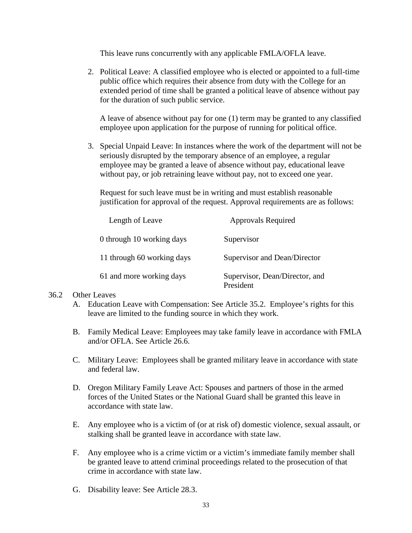This leave runs concurrently with any applicable FMLA/OFLA leave.

2. Political Leave: A classified employee who is elected or appointed to a full-time public office which requires their absence from duty with the College for an extended period of time shall be granted a political leave of absence without pay for the duration of such public service.

A leave of absence without pay for one (1) term may be granted to any classified employee upon application for the purpose of running for political office.

3. Special Unpaid Leave: In instances where the work of the department will not be seriously disrupted by the temporary absence of an employee, a regular employee may be granted a leave of absence without pay, educational leave without pay, or job retraining leave without pay, not to exceed one year.

Request for such leave must be in writing and must establish reasonable justification for approval of the request. Approval requirements are as follows:

| Length of Leave            | <b>Approvals Required</b>                   |
|----------------------------|---------------------------------------------|
| 0 through 10 working days  | Supervisor                                  |
| 11 through 60 working days | Supervisor and Dean/Director                |
| 61 and more working days   | Supervisor, Dean/Director, and<br>President |

#### 36.2 Other Leaves

- A. Education Leave with Compensation: See Article 35.2. Employee's rights for this leave are limited to the funding source in which they work.
- B. Family Medical Leave: Employees may take family leave in accordance with FMLA and/or OFLA. See Article 26.6.
- C. Military Leave: Employees shall be granted military leave in accordance with state and federal law.
- D. Oregon Military Family Leave Act: Spouses and partners of those in the armed forces of the United States or the National Guard shall be granted this leave in accordance with state law.
- E. Any employee who is a victim of (or at risk of) domestic violence, sexual assault, or stalking shall be granted leave in accordance with state law.
- F. Any employee who is a crime victim or a victim's immediate family member shall be granted leave to attend criminal proceedings related to the prosecution of that crime in accordance with state law.
- G. Disability leave: See Article 28.3.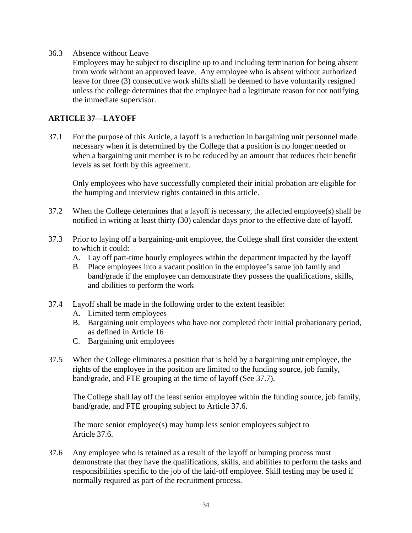36.3 Absence without Leave

Employees may be subject to discipline up to and including termination for being absent from work without an approved leave. Any employee who is absent without authorized leave for three (3) consecutive work shifts shall be deemed to have voluntarily resigned unless the college determines that the employee had a legitimate reason for not notifying the immediate supervisor.

## **ARTICLE 37—LAYOFF**

37.1 For the purpose of this Article, a layoff is a reduction in bargaining unit personnel made necessary when it is determined by the College that a position is no longer needed or when a bargaining unit member is to be reduced by an amount that reduces their benefit levels as set forth by this agreement.

Only employees who have successfully completed their initial probation are eligible for the bumping and interview rights contained in this article.

- 37.2 When the College determines that a layoff is necessary, the affected employee(s) shall be notified in writing at least thirty (30) calendar days prior to the effective date of layoff.
- 37.3 Prior to laying off a bargaining-unit employee, the College shall first consider the extent to which it could:
	- A. Lay off part-time hourly employees within the department impacted by the layoff
	- B. Place employees into a vacant position in the employee's same job family and band/grade if the employee can demonstrate they possess the qualifications, skills, and abilities to perform the work
- 37.4 Layoff shall be made in the following order to the extent feasible:
	- A. Limited term employees
	- B. Bargaining unit employees who have not completed their initial probationary period, as defined in Article 16
	- C. Bargaining unit employees
- 37.5 When the College eliminates a position that is held by a bargaining unit employee, the rights of the employee in the position are limited to the funding source, job family, band/grade, and FTE grouping at the time of layoff (See 37.7).

The College shall lay off the least senior employee within the funding source, job family, band/grade, and FTE grouping subject to Article 37.6.

The more senior employee(s) may bump less senior employees subject to Article 37.6.

37.6 Any employee who is retained as a result of the layoff or bumping process must demonstrate that they have the qualifications, skills, and abilities to perform the tasks and responsibilities specific to the job of the laid-off employee. Skill testing may be used if normally required as part of the recruitment process.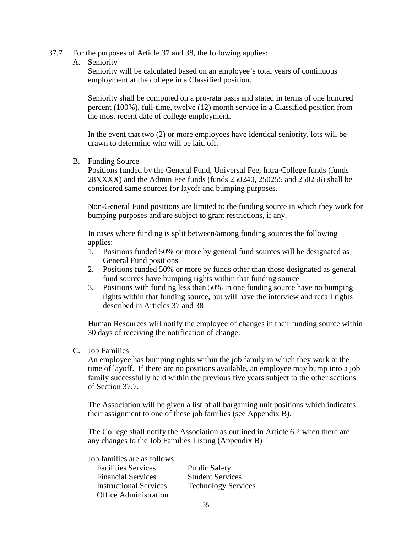- 37.7 For the purposes of Article 37 and 38, the following applies:
	- A. Seniority

Seniority will be calculated based on an employee's total years of continuous employment at the college in a Classified position.

Seniority shall be computed on a pro-rata basis and stated in terms of one hundred percent (100%), full-time, twelve (12) month service in a Classified position from the most recent date of college employment.

In the event that two (2) or more employees have identical seniority, lots will be drawn to determine who will be laid off.

B. Funding Source

Positions funded by the General Fund, Universal Fee, Intra-College funds (funds 28XXXX) and the Admin Fee funds (funds 250240, 250255 and 250256) shall be considered same sources for layoff and bumping purposes.

Non-General Fund positions are limited to the funding source in which they work for bumping purposes and are subject to grant restrictions, if any.

In cases where funding is split between/among funding sources the following applies:

- 1. Positions funded 50% or more by general fund sources will be designated as General Fund positions
- 2. Positions funded 50% or more by funds other than those designated as general fund sources have bumping rights within that funding source
- 3. Positions with funding less than 50% in one funding source have no bumping rights within that funding source, but will have the interview and recall rights described in Articles 37 and 38

Human Resources will notify the employee of changes in their funding source within 30 days of receiving the notification of change.

C. Job Families

An employee has bumping rights within the job family in which they work at the time of layoff. If there are no positions available, an employee may bump into a job family successfully held within the previous five years subject to the other sections of Section 37.7.

The Association will be given a list of all bargaining unit positions which indicates their assignment to one of these job families (see Appendix B).

The College shall notify the Association as outlined in Article 6.2 when there are any changes to the Job Families Listing (Appendix B)

Job families are as follows:

| <b>Facilities Services</b>    | <b>Public Safety</b>       |
|-------------------------------|----------------------------|
| <b>Financial Services</b>     | <b>Student Services</b>    |
| <b>Instructional Services</b> | <b>Technology Services</b> |
| <b>Office Administration</b>  |                            |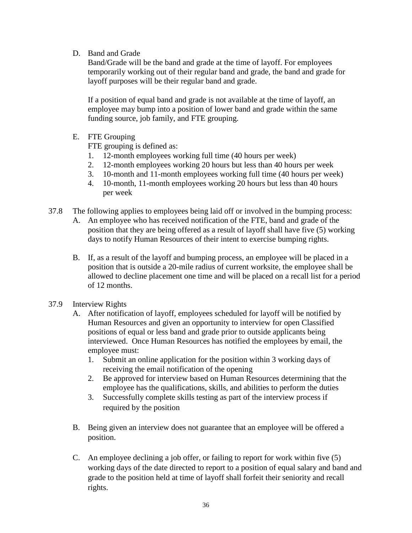D. Band and Grade

Band/Grade will be the band and grade at the time of layoff. For employees temporarily working out of their regular band and grade, the band and grade for layoff purposes will be their regular band and grade.

If a position of equal band and grade is not available at the time of layoff, an employee may bump into a position of lower band and grade within the same funding source, job family, and FTE grouping.

E. FTE Grouping

FTE grouping is defined as:

- 1. 12-month employees working full time (40 hours per week)
- 2. 12-month employees working 20 hours but less than 40 hours per week
- 3. 10-month and 11-month employees working full time (40 hours per week)
- 4. 10-month, 11-month employees working 20 hours but less than 40 hours per week
- 37.8 The following applies to employees being laid off or involved in the bumping process:
	- A. An employee who has received notification of the FTE, band and grade of the position that they are being offered as a result of layoff shall have five (5) working days to notify Human Resources of their intent to exercise bumping rights.
	- B. If, as a result of the layoff and bumping process, an employee will be placed in a position that is outside a 20-mile radius of current worksite, the employee shall be allowed to decline placement one time and will be placed on a recall list for a period of 12 months.
- 37.9 Interview Rights
	- A. After notification of layoff, employees scheduled for layoff will be notified by Human Resources and given an opportunity to interview for open Classified positions of equal or less band and grade prior to outside applicants being interviewed. Once Human Resources has notified the employees by email, the employee must:
		- 1. Submit an online application for the position within 3 working days of receiving the email notification of the opening
		- 2. Be approved for interview based on Human Resources determining that the employee has the qualifications, skills, and abilities to perform the duties
		- 3. Successfully complete skills testing as part of the interview process if required by the position
	- B. Being given an interview does not guarantee that an employee will be offered a position.
	- C. An employee declining a job offer, or failing to report for work within five (5) working days of the date directed to report to a position of equal salary and band and grade to the position held at time of layoff shall forfeit their seniority and recall rights.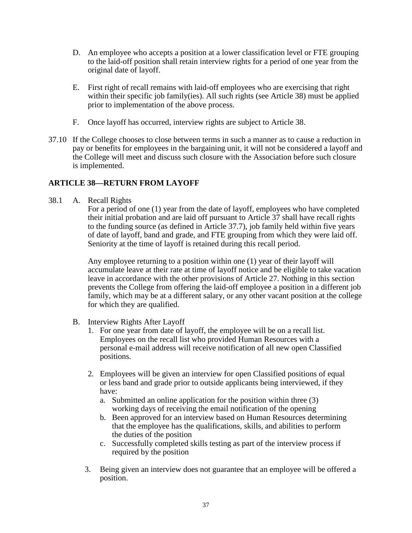- D. An employee who accepts a position at a lower classification level or FTE grouping to the laid-off position shall retain interview rights for a period of one year from the original date of layoff.
- E. First right of recall remains with laid-off employees who are exercising that right within their specific job family(ies). All such rights (see Article 38) must be applied prior to implementation of the above process.
- F. Once layoff has occurred, interview rights are subject to Article 38.
- 37.10 If the College chooses to close between terms in such a manner as to cause a reduction in pay or benefits for employees in the bargaining unit, it will not be considered a layoff and the College will meet and discuss such closure with the Association before such closure is implemented.

## **ARTICLE 38—RETURN FROM LAYOFF**

38.1 A. Recall Rights

For a period of one (1) year from the date of layoff, employees who have completed their initial probation and are laid off pursuant to Article 37 shall have recall rights to the funding source (as defined in Article 37.7), job family held within five years of date of layoff, band and grade, and FTE grouping from which they were laid off. Seniority at the time of layoff is retained during this recall period.

Any employee returning to a position within one (1) year of their layoff will accumulate leave at their rate at time of layoff notice and be eligible to take vacation leave in accordance with the other provisions of Article 27. Nothing in this section prevents the College from offering the laid-off employee a position in a different job family, which may be at a different salary, or any other vacant position at the college for which they are qualified.

- B. Interview Rights After Layoff
	- 1. For one year from date of layoff, the employee will be on a recall list. Employees on the recall list who provided Human Resources with a personal e-mail address will receive notification of all new open Classified positions.
	- 2. Employees will be given an interview for open Classified positions of equal or less band and grade prior to outside applicants being interviewed, if they have:
		- a. Submitted an online application for the position within three (3) working days of receiving the email notification of the opening
		- b. Been approved for an interview based on Human Resources determining that the employee has the qualifications, skills, and abilities to perform the duties of the position
		- c. Successfully completed skills testing as part of the interview process if required by the position
	- 3. Being given an interview does not guarantee that an employee will be offered a position.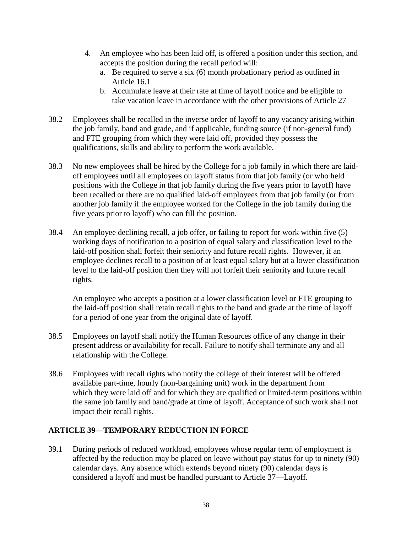- 4. An employee who has been laid off, is offered a position under this section, and accepts the position during the recall period will:
	- a. Be required to serve a six (6) month probationary period as outlined in Article 16.1
	- b. Accumulate leave at their rate at time of layoff notice and be eligible to take vacation leave in accordance with the other provisions of Article 27
- 38.2 Employees shall be recalled in the inverse order of layoff to any vacancy arising within the job family, band and grade, and if applicable, funding source (if non-general fund) and FTE grouping from which they were laid off, provided they possess the qualifications, skills and ability to perform the work available.
- 38.3 No new employees shall be hired by the College for a job family in which there are laidoff employees until all employees on layoff status from that job family (or who held positions with the College in that job family during the five years prior to layoff) have been recalled or there are no qualified laid-off employees from that job family (or from another job family if the employee worked for the College in the job family during the five years prior to layoff) who can fill the position.
- 38.4 An employee declining recall, a job offer, or failing to report for work within five (5) working days of notification to a position of equal salary and classification level to the laid-off position shall forfeit their seniority and future recall rights. However, if an employee declines recall to a position of at least equal salary but at a lower classification level to the laid-off position then they will not forfeit their seniority and future recall rights.

An employee who accepts a position at a lower classification level or FTE grouping to the laid-off position shall retain recall rights to the band and grade at the time of layoff for a period of one year from the original date of layoff.

- 38.5 Employees on layoff shall notify the Human Resources office of any change in their present address or availability for recall. Failure to notify shall terminate any and all relationship with the College.
- 38.6 Employees with recall rights who notify the college of their interest will be offered available part-time, hourly (non-bargaining unit) work in the department from which they were laid off and for which they are qualified or limited-term positions within the same job family and band/grade at time of layoff. Acceptance of such work shall not impact their recall rights.

## **ARTICLE 39—TEMPORARY REDUCTION IN FORCE**

39.1 During periods of reduced workload, employees whose regular term of employment is affected by the reduction may be placed on leave without pay status for up to ninety (90) calendar days. Any absence which extends beyond ninety (90) calendar days is considered a layoff and must be handled pursuant to Article 37—Layoff.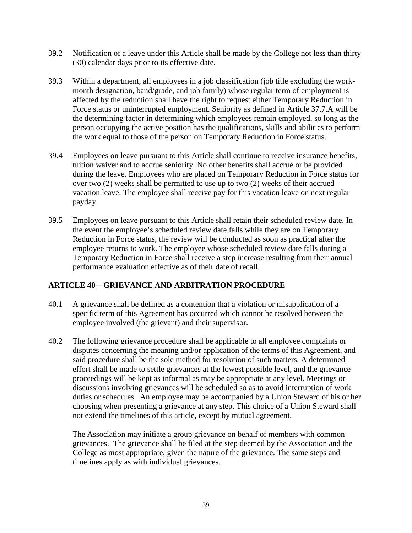- 39.2 Notification of a leave under this Article shall be made by the College not less than thirty (30) calendar days prior to its effective date.
- 39.3 Within a department, all employees in a job classification (job title excluding the workmonth designation, band/grade, and job family) whose regular term of employment is affected by the reduction shall have the right to request either Temporary Reduction in Force status or uninterrupted employment. Seniority as defined in Article 37.7.A will be the determining factor in determining which employees remain employed, so long as the person occupying the active position has the qualifications, skills and abilities to perform the work equal to those of the person on Temporary Reduction in Force status.
- 39.4 Employees on leave pursuant to this Article shall continue to receive insurance benefits, tuition waiver and to accrue seniority. No other benefits shall accrue or be provided during the leave. Employees who are placed on Temporary Reduction in Force status for over two (2) weeks shall be permitted to use up to two (2) weeks of their accrued vacation leave. The employee shall receive pay for this vacation leave on next regular payday.
- 39.5 Employees on leave pursuant to this Article shall retain their scheduled review date. In the event the employee's scheduled review date falls while they are on Temporary Reduction in Force status, the review will be conducted as soon as practical after the employee returns to work. The employee whose scheduled review date falls during a Temporary Reduction in Force shall receive a step increase resulting from their annual performance evaluation effective as of their date of recall.

## **ARTICLE 40—GRIEVANCE AND ARBITRATION PROCEDURE**

- 40.1 A grievance shall be defined as a contention that a violation or misapplication of a specific term of this Agreement has occurred which cannot be resolved between the employee involved (the grievant) and their supervisor.
- 40.2 The following grievance procedure shall be applicable to all employee complaints or disputes concerning the meaning and/or application of the terms of this Agreement, and said procedure shall be the sole method for resolution of such matters. A determined effort shall be made to settle grievances at the lowest possible level, and the grievance proceedings will be kept as informal as may be appropriate at any level. Meetings or discussions involving grievances will be scheduled so as to avoid interruption of work duties or schedules. An employee may be accompanied by a Union Steward of his or her choosing when presenting a grievance at any step. This choice of a Union Steward shall not extend the timelines of this article, except by mutual agreement.

The Association may initiate a group grievance on behalf of members with common grievances. The grievance shall be filed at the step deemed by the Association and the College as most appropriate, given the nature of the grievance. The same steps and timelines apply as with individual grievances.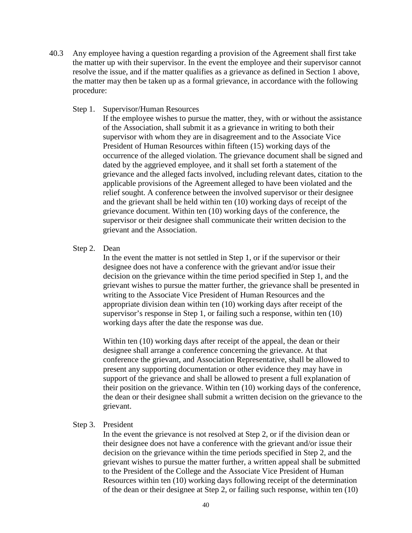- 40.3 Any employee having a question regarding a provision of the Agreement shall first take the matter up with their supervisor. In the event the employee and their supervisor cannot resolve the issue, and if the matter qualifies as a grievance as defined in Section 1 above, the matter may then be taken up as a formal grievance, in accordance with the following procedure:
	- Step 1. Supervisor/Human Resources

If the employee wishes to pursue the matter, they, with or without the assistance of the Association, shall submit it as a grievance in writing to both their supervisor with whom they are in disagreement and to the Associate Vice President of Human Resources within fifteen (15) working days of the occurrence of the alleged violation. The grievance document shall be signed and dated by the aggrieved employee, and it shall set forth a statement of the grievance and the alleged facts involved, including relevant dates, citation to the applicable provisions of the Agreement alleged to have been violated and the relief sought. A conference between the involved supervisor or their designee and the grievant shall be held within ten (10) working days of receipt of the grievance document. Within ten (10) working days of the conference, the supervisor or their designee shall communicate their written decision to the grievant and the Association.

#### Step 2. Dean

In the event the matter is not settled in Step 1, or if the supervisor or their designee does not have a conference with the grievant and/or issue their decision on the grievance within the time period specified in Step 1, and the grievant wishes to pursue the matter further, the grievance shall be presented in writing to the Associate Vice President of Human Resources and the appropriate division dean within ten (10) working days after receipt of the supervisor's response in Step 1, or failing such a response, within ten (10) working days after the date the response was due.

Within ten (10) working days after receipt of the appeal, the dean or their designee shall arrange a conference concerning the grievance. At that conference the grievant, and Association Representative, shall be allowed to present any supporting documentation or other evidence they may have in support of the grievance and shall be allowed to present a full explanation of their position on the grievance. Within ten (10) working days of the conference, the dean or their designee shall submit a written decision on the grievance to the grievant.

#### Step 3. President

In the event the grievance is not resolved at Step 2, or if the division dean or their designee does not have a conference with the grievant and/or issue their decision on the grievance within the time periods specified in Step 2, and the grievant wishes to pursue the matter further, a written appeal shall be submitted to the President of the College and the Associate Vice President of Human Resources within ten (10) working days following receipt of the determination of the dean or their designee at Step 2, or failing such response, within ten (10)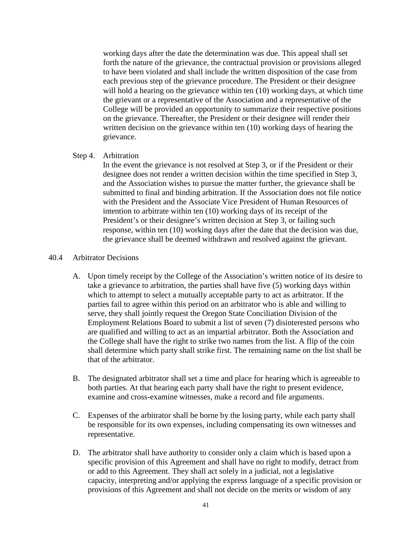working days after the date the determination was due. This appeal shall set forth the nature of the grievance, the contractual provision or provisions alleged to have been violated and shall include the written disposition of the case from each previous step of the grievance procedure. The President or their designee will hold a hearing on the grievance within ten (10) working days, at which time the grievant or a representative of the Association and a representative of the College will be provided an opportunity to summarize their respective positions on the grievance. Thereafter, the President or their designee will render their written decision on the grievance within ten (10) working days of hearing the grievance.

#### Step 4. Arbitration

In the event the grievance is not resolved at Step 3, or if the President or their designee does not render a written decision within the time specified in Step 3, and the Association wishes to pursue the matter further, the grievance shall be submitted to final and binding arbitration. If the Association does not file notice with the President and the Associate Vice President of Human Resources of intention to arbitrate within ten (10) working days of its receipt of the President's or their designee's written decision at Step 3, or failing such response, within ten (10) working days after the date that the decision was due, the grievance shall be deemed withdrawn and resolved against the grievant.

#### 40.4 Arbitrator Decisions

- A. Upon timely receipt by the College of the Association's written notice of its desire to take a grievance to arbitration, the parties shall have five (5) working days within which to attempt to select a mutually acceptable party to act as arbitrator. If the parties fail to agree within this period on an arbitrator who is able and willing to serve, they shall jointly request the Oregon State Conciliation Division of the Employment Relations Board to submit a list of seven (7) disinterested persons who are qualified and willing to act as an impartial arbitrator. Both the Association and the College shall have the right to strike two names from the list. A flip of the coin shall determine which party shall strike first. The remaining name on the list shall be that of the arbitrator.
- B. The designated arbitrator shall set a time and place for hearing which is agreeable to both parties. At that hearing each party shall have the right to present evidence, examine and cross-examine witnesses, make a record and file arguments.
- C. Expenses of the arbitrator shall be borne by the losing party, while each party shall be responsible for its own expenses, including compensating its own witnesses and representative.
- D. The arbitrator shall have authority to consider only a claim which is based upon a specific provision of this Agreement and shall have no right to modify, detract from or add to this Agreement. They shall act solely in a judicial, not a legislative capacity, interpreting and/or applying the express language of a specific provision or provisions of this Agreement and shall not decide on the merits or wisdom of any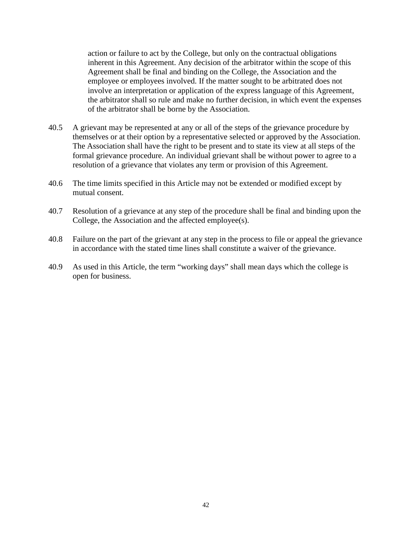action or failure to act by the College, but only on the contractual obligations inherent in this Agreement. Any decision of the arbitrator within the scope of this Agreement shall be final and binding on the College, the Association and the employee or employees involved. If the matter sought to be arbitrated does not involve an interpretation or application of the express language of this Agreement, the arbitrator shall so rule and make no further decision, in which event the expenses of the arbitrator shall be borne by the Association.

- 40.5 A grievant may be represented at any or all of the steps of the grievance procedure by themselves or at their option by a representative selected or approved by the Association. The Association shall have the right to be present and to state its view at all steps of the formal grievance procedure. An individual grievant shall be without power to agree to a resolution of a grievance that violates any term or provision of this Agreement.
- 40.6 The time limits specified in this Article may not be extended or modified except by mutual consent.
- 40.7 Resolution of a grievance at any step of the procedure shall be final and binding upon the College, the Association and the affected employee(s).
- 40.8 Failure on the part of the grievant at any step in the process to file or appeal the grievance in accordance with the stated time lines shall constitute a waiver of the grievance.
- 40.9 As used in this Article, the term "working days" shall mean days which the college is open for business.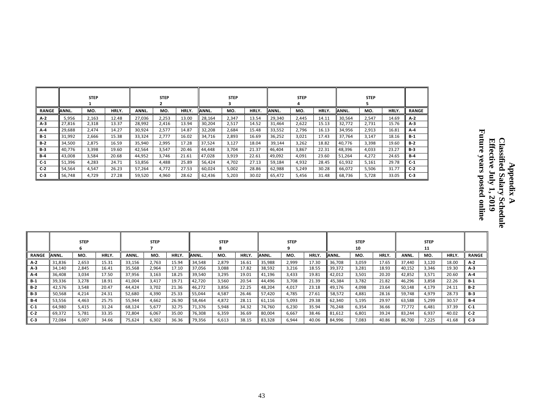|              |               | <b>STEP</b> |       |        | <b>STEP</b> |       |        | <b>STEP</b> |       |        | <b>STEP</b><br>4 |       |        | <b>STEP</b> |       |              |
|--------------|---------------|-------------|-------|--------|-------------|-------|--------|-------------|-------|--------|------------------|-------|--------|-------------|-------|--------------|
| <b>RANGE</b> | <b>JANNL.</b> | MO.         | HRLY. | ANNL.  | MO.         | HRLY. | ANNL.  | MO.         | HRLY. | ANNL.  | MO.              | HRLY. | ANNL.  | MO.         | HRLY. | <b>RANGE</b> |
| A-2          | 5,956         | 2,163       | 12.48 | 27,036 | 2,253       | 13.00 | 28,164 | 2,347       | 13.54 | 29,340 | 2,445            | 14.11 | 30,564 | 2,547       | 14.69 | $A-2$        |
| $A-3$        | 27,816        | 2,318       | 13.37 | 28,992 | 2,416       | 13.94 | 30,204 | 2,517       | 14.52 | 31,464 | 2,622            | 15.13 | 32,772 | 2,731       | 15.76 | $A-3$        |
| $A - 4$      | 29,688        | 2,474       | 14.27 | 30,924 | 2,577       | 14.87 | 32,208 | 2,684       | 15.48 | 33,552 | 2,796            | 16.13 | 34,956 | 2,913       | 16.81 | $A-4$        |
| $B-1$        | 31,992        | 2,666       | 15.38 | 33,324 | 2,777       | 16.02 | 34,716 | 2,893       | 16.69 | 36,252 | 3,021            | 17.43 | 37,764 | 3,147       | 18.16 | B-1          |
| $B-2$        | 34,500        | 2,875       | 16.59 | 35,940 | 2,995       | 17.28 | 37,524 | 3,127       | 18.04 | 39,144 | 3,262            | 18.82 | 40,776 | 3,398       | 19.60 | $B-2$        |
| $B-3$        | 40,776        | 3,398       | 19.60 | 42,564 | 3,547       | 20.46 | 44.448 | 3,704       | 21.37 | 46,404 | 3,867            | 22.31 | 48,396 | 4,033       | 23.27 | $B-3$        |
| $B-4$        | 43,008        | 3,584       | 20.68 | 44,952 | 3,746       | 21.61 | 47,028 | 3,919       | 22.61 | 49,092 | 4,091            | 23.60 | 51,264 | 4,272       | 24.65 | $B-4$        |
| $C-1$        | 51,396        | 4,283       | 24.71 | 53,856 | 4,488       | 25.89 | 56,424 | 4,702       | 27.13 | 59,184 | 4,932            | 28.45 | 61,932 | 5,161       | 29.78 | $C-1$        |
| $C-2$        | 54,564        | 4,547       | 26.23 | 57,264 | 4,772       | 27.53 | 60,024 | 5,002       | 28.86 | 62,988 | 5,249            | 30.28 | 66,072 | 5,506       | 31.77 | $C-2$        |
| $C-3$        | 56,748        | 4,729       | 27.28 | 59,520 | 4,960       | 28.62 | 62,436 | 5,203       | 30.02 | 65,472 | 5,456            | 31.48 | 68,736 | 5,728       | 33.05 | $C-3$        |

|              |        | <b>STEP</b> |       |        | <b>STEP</b> |       |        | <b>STEP</b> |       |        | <b>STEP</b> |       |        | <b>STEP</b><br>10 |       |        | <b>STEP</b><br>11 |       |              |
|--------------|--------|-------------|-------|--------|-------------|-------|--------|-------------|-------|--------|-------------|-------|--------|-------------------|-------|--------|-------------------|-------|--------------|
| <b>RANGE</b> | ANNL.  | MO.         | HRLY. | ANNL.  | MO.         | HRLY. | ANNL.  | MO.         | HRLY. | ANNL.  | MO.         | HRLY. | ANNL.  | MO.               | HRLY. | ANNL.  | MO.               | HRLY. | <b>RANGE</b> |
| $A-2$        | 31,836 | 2.653       | 15.31 | 33.156 | 2.763       | 15.94 | 34,548 | 2,879       | 16.61 | 35,988 | 2,999       | 17.30 | 36.708 | 3,059             | 17.65 | 37.440 | 3.120             | 18.00 | $A-2$        |
| $A-3$        | 34.140 | 2,845       | 16.41 | 35,568 | 2,964       | 17.10 | 37,056 | 3,088       | 17.82 | 38,592 | 3,216       | 18.55 | 39,372 | 3,281             | 18.93 | 40,152 | 3,346             | 19.30 | $A-3$        |
| A-4          | 36,408 | 3,034       | 17.50 | 37,956 | 3,163       | 18.25 | 39,540 | 3,295       | 19.01 | 41,196 | 3,433       | 19.81 | 42,012 | 3,501             | 20.20 | 42,852 | 3,571             | 20.60 | $A-4$        |
| B-1          | 39,336 | 3,278       | 18.91 | 41,004 | 3,417       | 19.71 | 42.720 | 3,560       | 20.54 | 44,496 | 3,708       | 21.39 | 45,384 | 3,782             | 21.82 | 46,296 | 3,858             | 22.26 | $B-1$        |
| $B-2$        | 42,576 | 3,548       | 20.47 | 44.424 | 3,702       | 21.36 | 46,272 | 3,856       | 22.25 | 48,204 | 4.017       | 23.18 | 49,176 | 4,098             | 23.64 | 50,148 | 4,179             | 24.11 | $B-2$        |
| $B-3$        | 50,568 | 4,214       | 24.31 | 52,680 | 4,390       | 25.33 | 55,044 | 4,587       | 26.46 | 57,420 | 4,785       | 27.61 | 58,572 | 4,881             | 28.16 | 59,748 | 4,979             | 28.73 | $B-3$        |
| <b>B-4</b>   | 53,556 | 4.463       | 25.75 | 55,944 | 4,662       | 26.90 | 58,464 | 4,872       | 28.11 | 61,116 | 5,093       | 29.38 | 62,340 | 5,195             | 29.97 | 63,588 | 5,299             | 30.57 | $B-4$        |
| $C-1$        | 64,980 | 5,415       | 31.24 | 68,124 | 5,677       | 32.75 | 71,376 | 5,948       | 34.32 | 74,760 | 6,230       | 35.94 | 76,248 | 6,354             | 36.66 | 77,772 | 6,481             | 37.39 | $C-1$        |
| $C-2$        | 69,372 | 5,781       | 33.35 | 72,804 | 6,067       | 35.00 | 76,308 | 6,359       | 36.69 | 80,004 | 6,667       | 38.46 | 81,612 | 6,801             | 39.24 | 83,244 | 6,937             | 40.02 | $C-2$        |
| $C-3$        | 72,084 | 6.007       | 34.66 | 75,624 | 6,302       | 36.36 | 79,356 | 6,613       | 38.15 | 83,328 | 6,944       | 40.06 | 84,996 | 7,083             | 40.86 | 86,700 | 7,225             | 41.68 | $C-3$        |

43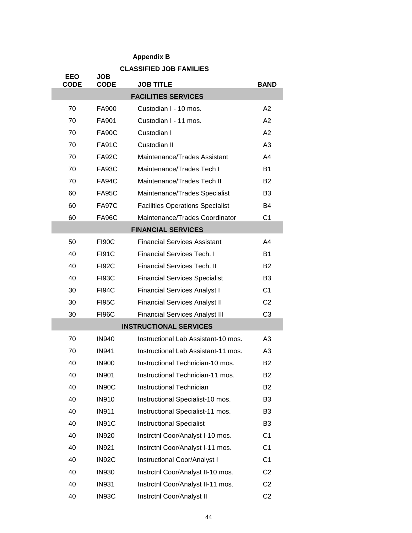## **Appendix B**

|                           |                           | <b>CLASSIFIED JOB FAMILIES</b>          |                |
|---------------------------|---------------------------|-----------------------------------------|----------------|
| <b>EEO</b><br><b>CODE</b> | <b>JOB</b><br><b>CODE</b> | <b>JOB TITLE</b>                        | <b>BAND</b>    |
|                           |                           | <b>FACILITIES SERVICES</b>              |                |
| 70                        | FA900                     | Custodian I - 10 mos.                   | A2             |
| 70                        | FA901                     | Custodian I - 11 mos.                   | A2             |
| 70                        | <b>FA90C</b>              | Custodian I                             | A2             |
| 70                        | <b>FA91C</b>              | Custodian II                            | A3             |
| 70                        | <b>FA92C</b>              | Maintenance/Trades Assistant            | A4             |
| 70                        | <b>FA93C</b>              | Maintenance/Trades Tech I               | <b>B1</b>      |
| 70                        | FA94C                     | Maintenance/Trades Tech II              | B <sub>2</sub> |
| 60                        | <b>FA95C</b>              | Maintenance/Trades Specialist           | B <sub>3</sub> |
| 60                        | <b>FA97C</b>              | <b>Facilities Operations Specialist</b> | B4             |
| 60                        | <b>FA96C</b>              | Maintenance/Trades Coordinator          | C <sub>1</sub> |
|                           |                           | <b>FINANCIAL SERVICES</b>               |                |
| 50                        | <b>FI90C</b>              | <b>Financial Services Assistant</b>     | A4             |
| 40                        | <b>FI91C</b>              | <b>Financial Services Tech. I</b>       | <b>B1</b>      |
| 40                        | <b>FI92C</b>              | <b>Financial Services Tech. II</b>      | B <sub>2</sub> |
| 40                        | <b>FI93C</b>              | <b>Financial Services Specialist</b>    | B <sub>3</sub> |
| 30                        | FI94C                     | <b>Financial Services Analyst I</b>     | C <sub>1</sub> |
| 30                        | <b>FI95C</b>              | <b>Financial Services Analyst II</b>    | C <sub>2</sub> |
| 30                        | <b>FI96C</b>              | <b>Financial Services Analyst III</b>   | C <sub>3</sub> |
|                           |                           | <b>INSTRUCTIONAL SERVICES</b>           |                |
| 70                        | <b>IN940</b>              | Instructional Lab Assistant-10 mos.     | A <sub>3</sub> |
| 70                        | <b>IN941</b>              | Instructional Lab Assistant-11 mos.     | A <sub>3</sub> |
| 40                        | <b>IN900</b>              | Instructional Technician-10 mos.        | <b>B2</b>      |
| 40                        | <b>IN901</b>              | Instructional Technician-11 mos.        | B <sub>2</sub> |
| 40                        | IN90C                     | <b>Instructional Technician</b>         | B <sub>2</sub> |
| 40                        | <b>IN910</b>              | Instructional Specialist-10 mos.        | B <sub>3</sub> |
| 40                        | <b>IN911</b>              | Instructional Specialist-11 mos.        | B <sub>3</sub> |
| 40                        | IN91C                     | <b>Instructional Specialist</b>         | B <sub>3</sub> |
| 40                        | <b>IN920</b>              | Instrctnl Coor/Analyst I-10 mos.        | C <sub>1</sub> |
| 40                        | <b>IN921</b>              | Instrctnl Coor/Analyst I-11 mos.        | C <sub>1</sub> |
| 40                        | IN92C                     | Instructional Coor/Analyst I            | C <sub>1</sub> |
| 40                        | <b>IN930</b>              | Instrctnl Coor/Analyst II-10 mos.       | C <sub>2</sub> |
| 40                        | <b>IN931</b>              | Instrctnl Coor/Analyst II-11 mos.       | C <sub>2</sub> |
| 40                        | IN93C                     | Instrctnl Coor/Analyst II               | C <sub>2</sub> |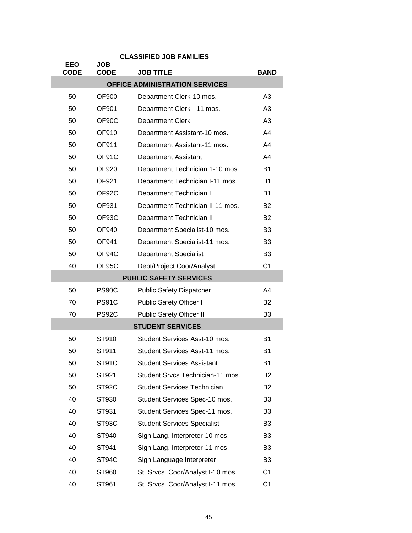|                           |                           | <b>CLASSIFIED JOB FAMILIES</b>     |                |
|---------------------------|---------------------------|------------------------------------|----------------|
| <b>EEO</b><br><b>CODE</b> | <b>JOB</b><br><b>CODE</b> | <b>JOB TITLE</b>                   | <b>BAND</b>    |
|                           |                           | OFFICE ADMINISTRATION SERVICES     |                |
| 50                        | <b>OF900</b>              | Department Clerk-10 mos.           | A3             |
| 50                        | OF901                     | Department Clerk - 11 mos.         | A3             |
| 50                        | OF90C                     | <b>Department Clerk</b>            | A3             |
| 50                        | <b>OF910</b>              | Department Assistant-10 mos.       | A4             |
| 50                        | OF911                     | Department Assistant-11 mos.       | A4             |
| 50                        | OF91C                     | <b>Department Assistant</b>        | A4             |
| 50                        | OF920                     | Department Technician 1-10 mos.    | <b>B1</b>      |
| 50                        | OF921                     | Department Technician I-11 mos.    | <b>B1</b>      |
| 50                        | OF92C                     | Department Technician I            | <b>B1</b>      |
| 50                        | OF931                     | Department Technician II-11 mos.   | <b>B2</b>      |
| 50                        | OF93C                     | Department Technician II           | <b>B2</b>      |
| 50                        | OF940                     | Department Specialist-10 mos.      | B <sub>3</sub> |
| 50                        | OF941                     | Department Specialist-11 mos.      | B <sub>3</sub> |
| 50                        | OF94C                     | <b>Department Specialist</b>       | B <sub>3</sub> |
| 40                        | OF95C                     | Dept/Project Coor/Analyst          | C <sub>1</sub> |
|                           |                           | <b>PUBLIC SAFETY SERVICES</b>      |                |
| 50                        | PS90C                     | <b>Public Safety Dispatcher</b>    | A4             |
| 70                        | <b>PS91C</b>              | Public Safety Officer I            | <b>B2</b>      |
| 70                        | <b>PS92C</b>              | <b>Public Safety Officer II</b>    | B <sub>3</sub> |
|                           |                           | <b>STUDENT SERVICES</b>            |                |
| 50                        | ST910                     | Student Services Asst-10 mos.      | <b>B1</b>      |
| 50                        | ST911                     | Student Services Asst-11 mos.      | B <sub>1</sub> |
| 50                        | ST91C                     | <b>Student Services Assistant</b>  | <b>B1</b>      |
| 50                        | ST921                     | Student Srvcs Technician-11 mos.   | <b>B2</b>      |
| 50                        | ST92C                     | <b>Student Services Technician</b> | <b>B2</b>      |
| 40                        | ST930                     | Student Services Spec-10 mos.      | B <sub>3</sub> |
| 40                        | ST931                     | Student Services Spec-11 mos.      | B <sub>3</sub> |
| 40                        | ST93C                     | <b>Student Services Specialist</b> | B <sub>3</sub> |
| 40                        | ST940                     | Sign Lang. Interpreter-10 mos.     | B <sub>3</sub> |
| 40                        | ST941                     | Sign Lang. Interpreter-11 mos.     | B <sub>3</sub> |
| 40                        | ST94C                     | Sign Language Interpreter          | B <sub>3</sub> |
| 40                        | ST960                     | St. Srvcs. Coor/Analyst I-10 mos.  | C <sub>1</sub> |
| 40                        | ST961                     | St. Srvcs. Coor/Analyst I-11 mos.  | C <sub>1</sub> |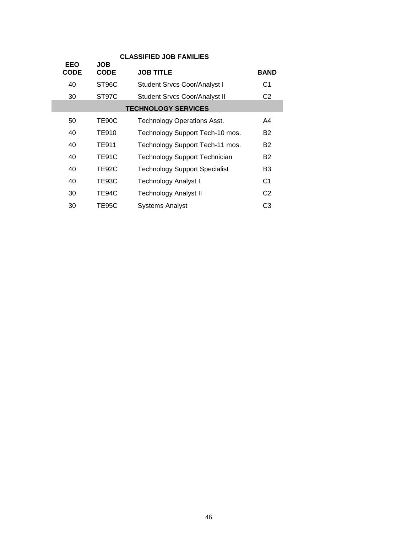| <b>CLASSIFIED JOB FAMILIES</b> |                    |                                      |                |  |  |  |  |
|--------------------------------|--------------------|--------------------------------------|----------------|--|--|--|--|
| <b>EEO</b><br>CODE             | JOB<br><b>CODE</b> | <b>JOB TITLE</b>                     | <b>BAND</b>    |  |  |  |  |
| 40                             | ST96C              | <b>Student Srvcs Coor/Analyst I</b>  | C <sub>1</sub> |  |  |  |  |
| 30                             | ST97C              | <b>Student Srvcs Coor/Analyst II</b> | C <sub>2</sub> |  |  |  |  |
|                                |                    | <b>TECHNOLOGY SERVICES</b>           |                |  |  |  |  |
| 50                             | TE90C              | <b>Technology Operations Asst.</b>   | A4             |  |  |  |  |
| 40                             | <b>TE910</b>       | Technology Support Tech-10 mos.      | B2             |  |  |  |  |
| 40                             | <b>TE911</b>       | Technology Support Tech-11 mos.      | B2             |  |  |  |  |
| 40                             | <b>TE91C</b>       | <b>Technology Support Technician</b> | B2             |  |  |  |  |
| 40                             | TE92C              | <b>Technology Support Specialist</b> | B3             |  |  |  |  |
| 40                             | TE93C              | <b>Technology Analyst I</b>          | C1             |  |  |  |  |
| 30                             | TE94C              | <b>Technology Analyst II</b>         | C <sub>2</sub> |  |  |  |  |
| 30                             | TE95C              | <b>Systems Analyst</b>               | C3             |  |  |  |  |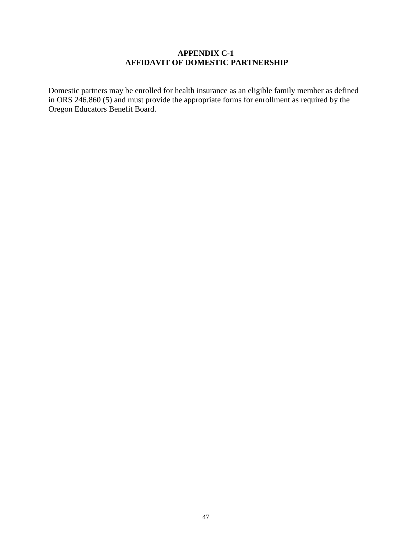#### **APPENDIX C-1 AFFIDAVIT OF DOMESTIC PARTNERSHIP**

Domestic partners may be enrolled for health insurance as an eligible family member as defined in ORS 246.860 (5) and must provide the appropriate forms for enrollment as required by the Oregon Educators Benefit Board.